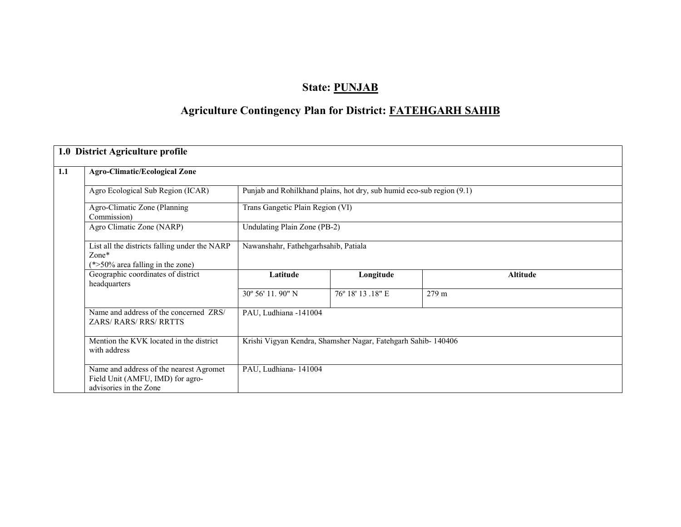# State: PUNJAB

# Agriculture Contingency Plan for District: FATEHGARH SAHIB

|     | 1.0 District Agriculture profile                                                                      |                                                              |                                                                       |                 |  |  |  |  |
|-----|-------------------------------------------------------------------------------------------------------|--------------------------------------------------------------|-----------------------------------------------------------------------|-----------------|--|--|--|--|
| 1.1 | <b>Agro-Climatic/Ecological Zone</b>                                                                  |                                                              |                                                                       |                 |  |  |  |  |
|     | Agro Ecological Sub Region (ICAR)                                                                     |                                                              | Punjab and Rohilkhand plains, hot dry, sub humid eco-sub region (9.1) |                 |  |  |  |  |
|     | Agro-Climatic Zone (Planning<br>Commission)                                                           | Trans Gangetic Plain Region (VI)                             |                                                                       |                 |  |  |  |  |
|     | Agro Climatic Zone (NARP)                                                                             | Undulating Plain Zone (PB-2)                                 |                                                                       |                 |  |  |  |  |
|     | List all the districts falling under the NARP<br>$Zone*$<br>$(*>50\%$ area falling in the zone)       | Nawanshahr, Fathehgarhsahib, Patiala                         |                                                                       |                 |  |  |  |  |
|     | Geographic coordinates of district<br>headquarters                                                    | Latitude                                                     | Longitude                                                             | <b>Altitude</b> |  |  |  |  |
|     |                                                                                                       | 30° 56' 11.90" N                                             | 76° 18′ 13.18″ E                                                      | 279 m           |  |  |  |  |
|     | Name and address of the concerned ZRS/<br>ZARS/RARS/RRS/RRTTS                                         | PAU, Ludhiana -141004                                        |                                                                       |                 |  |  |  |  |
|     | Mention the KVK located in the district<br>with address                                               | Krishi Vigyan Kendra, Shamsher Nagar, Fatehgarh Sahib-140406 |                                                                       |                 |  |  |  |  |
|     | Name and address of the nearest Agromet<br>Field Unit (AMFU, IMD) for agro-<br>advisories in the Zone |                                                              | PAU, Ludhiana-141004                                                  |                 |  |  |  |  |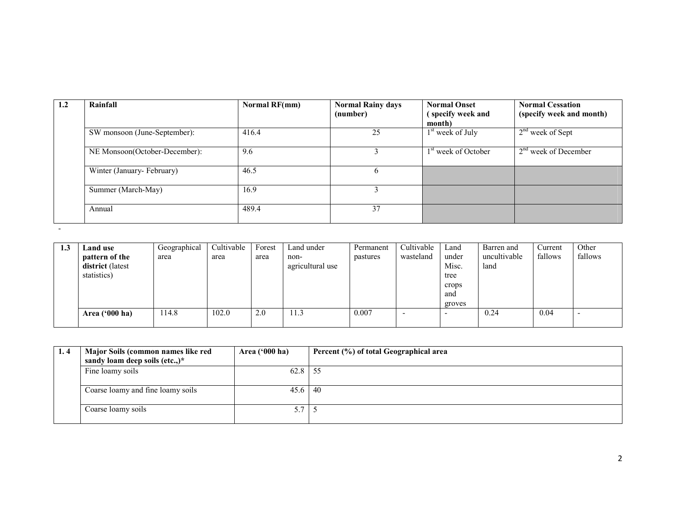| 1.2 | Rainfall                      | Normal RF(mm) | <b>Normal Rainy days</b><br>(number) | <b>Normal Onset</b><br>(specify week and<br>month) | <b>Normal Cessation</b><br>(specify week and month) |
|-----|-------------------------------|---------------|--------------------------------------|----------------------------------------------------|-----------------------------------------------------|
|     | SW monsoon (June-September):  | 416.4         | 25                                   | $1st$ week of July                                 | $2nd$ week of Sept                                  |
|     | NE Monsoon(October-December): | 9.6           |                                      | 1 <sup>st</sup> week of October                    | $2nd$ week of December                              |
|     | Winter (January-February)     | 46.5          |                                      |                                                    |                                                     |
|     | Summer (March-May)            | 16.9          |                                      |                                                    |                                                     |
|     | Annual                        | 489.4         | 37                                   |                                                    |                                                     |
|     |                               |               |                                      |                                                    |                                                     |

| 1.3 | Land use         | Geographical | Cultivable | Forest | Land under       | Permanent | Cultivable | Land   | Barren and   | Current | Other   |
|-----|------------------|--------------|------------|--------|------------------|-----------|------------|--------|--------------|---------|---------|
|     | pattern of the   | area         | area       | area   | non-             | pastures  | wasteland  | under  | uncultivable | fallows | fallows |
|     | district (latest |              |            |        | agricultural use |           |            | Misc.  | land         |         |         |
|     | statistics)      |              |            |        |                  |           |            | tree   |              |         |         |
|     |                  |              |            |        |                  |           |            | crops  |              |         |         |
|     |                  |              |            |        |                  |           |            | and    |              |         |         |
|     |                  |              |            |        |                  |           |            | groves |              |         |         |
|     | Area $('000 ha)$ | 14.8         | 102.0      | 2.0    | 11.3             | 0.007     |            |        | 0.24         | 0.04    |         |
|     |                  |              |            |        |                  |           |            |        |              |         |         |

| 1.4 | Major Soils (common names like red<br>Area $(900 \text{ ha})$ |      | Percent (%) of total Geographical area |
|-----|---------------------------------------------------------------|------|----------------------------------------|
|     | sandy loam deep soils (etc.,) $*$                             |      |                                        |
|     | Fine loamy soils                                              | 62.8 | -55                                    |
|     | Coarse loamy and fine loamy soils                             | 45.6 | -40                                    |
|     | Coarse loamy soils                                            | 57   |                                        |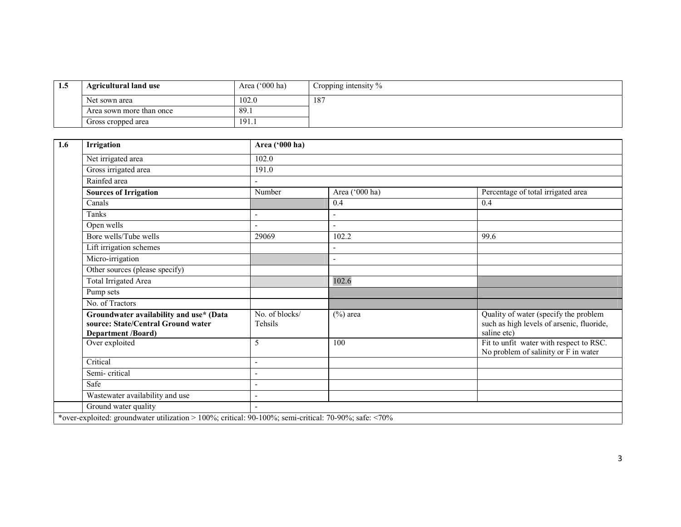| -1.3 | <b>Agricultural land use</b> | Area $('000 ha)$ | Cropping intensity % |
|------|------------------------------|------------------|----------------------|
|      | Net sown area                | 102.0            | 187                  |
|      | Area sown more than once     | 89.1             |                      |
|      | Gross cropped area           | 191.1            |                      |

| 1.6 | Irrigation                                                                                            | Area ('000 ha)            |                |                                                                                                   |  |  |  |  |
|-----|-------------------------------------------------------------------------------------------------------|---------------------------|----------------|---------------------------------------------------------------------------------------------------|--|--|--|--|
|     | Net irrigated area                                                                                    | 102.0                     |                |                                                                                                   |  |  |  |  |
|     | Gross irrigated area                                                                                  | 191.0                     |                |                                                                                                   |  |  |  |  |
|     | Rainfed area                                                                                          |                           |                |                                                                                                   |  |  |  |  |
|     | <b>Sources of Irrigation</b>                                                                          | Number                    | Area ('000 ha) | Percentage of total irrigated area                                                                |  |  |  |  |
|     | Canals                                                                                                |                           | 0.4            | 0.4                                                                                               |  |  |  |  |
|     | Tanks                                                                                                 | ÷,                        | ٠              |                                                                                                   |  |  |  |  |
|     | Open wells                                                                                            |                           | ۳              |                                                                                                   |  |  |  |  |
|     | Bore wells/Tube wells                                                                                 | 29069                     | 102.2          | 99.6                                                                                              |  |  |  |  |
|     | Lift irrigation schemes                                                                               |                           |                |                                                                                                   |  |  |  |  |
|     | Micro-irrigation                                                                                      |                           | ۳              |                                                                                                   |  |  |  |  |
|     | Other sources (please specify)                                                                        |                           |                |                                                                                                   |  |  |  |  |
|     | Total Irrigated Area                                                                                  |                           | 102.6          |                                                                                                   |  |  |  |  |
|     | Pump sets                                                                                             |                           |                |                                                                                                   |  |  |  |  |
|     | No. of Tractors                                                                                       |                           |                |                                                                                                   |  |  |  |  |
|     | Groundwater availability and use* (Data<br>source: State/Central Ground water<br>Department /Board)   | No. of blocks/<br>Tehsils | $(\%)$ area    | Quality of water (specify the problem<br>such as high levels of arsenic, fluoride,<br>saline etc) |  |  |  |  |
|     | Over exploited                                                                                        | 5                         | 100            | Fit to unfit water with respect to RSC.<br>No problem of salinity or F in water                   |  |  |  |  |
|     | Critical                                                                                              | $\overline{\phantom{a}}$  |                |                                                                                                   |  |  |  |  |
|     | Semi-critical                                                                                         | ٠                         |                |                                                                                                   |  |  |  |  |
|     | Safe                                                                                                  | ÷,                        |                |                                                                                                   |  |  |  |  |
|     | Wastewater availability and use                                                                       | $\overline{\phantom{a}}$  |                |                                                                                                   |  |  |  |  |
|     | Ground water quality                                                                                  | ÷,                        |                |                                                                                                   |  |  |  |  |
|     | *over-exploited: groundwater utilization > 100%; critical: 90-100%; semi-critical: 70-90%; safe: <70% |                           |                |                                                                                                   |  |  |  |  |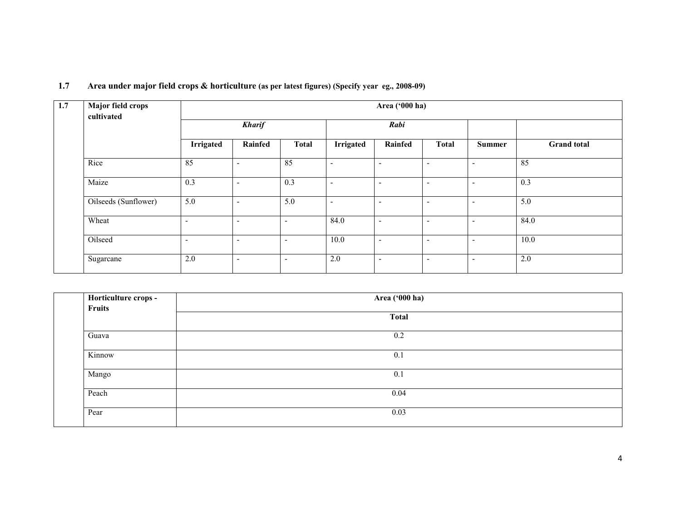| 1.7 | Area under major field crops & horticulture (as per latest figures) (Specify year eg., 2008-09) |  |  |  |
|-----|-------------------------------------------------------------------------------------------------|--|--|--|
|-----|-------------------------------------------------------------------------------------------------|--|--|--|

| 1.7 | Major field crops<br>cultivated | Area ('000 ha)           |                          |                          |                          |                          |                          |               |                    |  |
|-----|---------------------------------|--------------------------|--------------------------|--------------------------|--------------------------|--------------------------|--------------------------|---------------|--------------------|--|
|     |                                 |                          | <b>Kharif</b>            |                          |                          | Rabi                     |                          |               |                    |  |
|     |                                 | Irrigated                | Rainfed                  | <b>Total</b>             | Irrigated                | <b>Rainfed</b>           | <b>Total</b>             | <b>Summer</b> | <b>Grand</b> total |  |
|     | Rice                            | 85                       | $\overline{\phantom{a}}$ | 85                       | $\overline{\phantom{a}}$ |                          | ٠                        | -             | 85                 |  |
|     | Maize                           | 0.3                      | $\overline{\phantom{a}}$ | 0.3                      | $\overline{\phantom{a}}$ | $\overline{\phantom{a}}$ | ٠                        | ۰             | 0.3                |  |
|     | Oilseeds (Sunflower)            | 5.0                      | $\overline{\phantom{a}}$ | 5.0                      | $\overline{\phantom{a}}$ | -                        | $\overline{\phantom{0}}$ | ۰             | 5.0                |  |
|     | Wheat                           | $\overline{\phantom{a}}$ | $\overline{\phantom{a}}$ | $\overline{\phantom{a}}$ | 84.0                     | $\overline{\phantom{a}}$ | $\overline{\phantom{0}}$ | ۰             | 84.0               |  |
|     | Oilseed                         | $\overline{\phantom{a}}$ | $\overline{\phantom{a}}$ | $\overline{\phantom{a}}$ | 10.0                     | $\overline{\phantom{a}}$ | $\overline{\phantom{0}}$ | ۰             | 10.0               |  |
|     | Sugarcane                       | 2.0                      | $\overline{\phantom{a}}$ | $\overline{\phantom{a}}$ | 2.0                      | $\overline{\phantom{a}}$ | $\overline{\phantom{0}}$ | ۰             | 2.0                |  |

| Horticulture crops - | Area ('000 ha) |  |
|----------------------|----------------|--|
| Fruits               | <b>Total</b>   |  |
| Guava                | 0.2            |  |
| Kinnow               | 0.1            |  |
| Mango                | 0.1            |  |
| Peach                | 0.04           |  |
| Pear                 | 0.03           |  |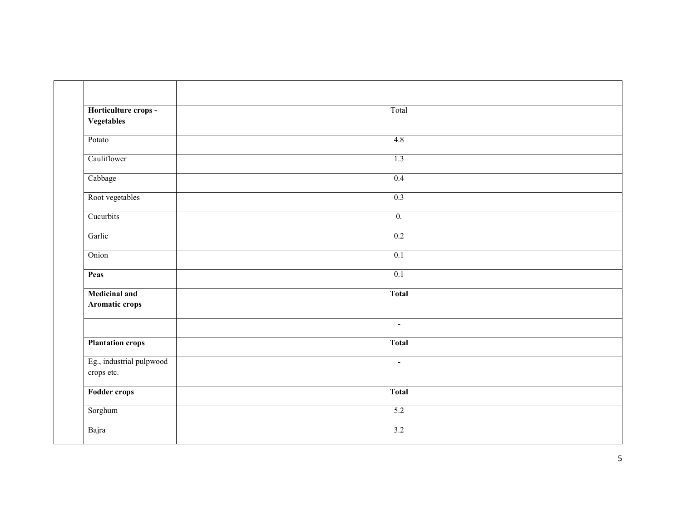| Horticulture crops -<br>Vegetables     | Total            |  |
|----------------------------------------|------------------|--|
| Potato                                 | 4.8              |  |
| Cauliflower                            | 1.3              |  |
| Cabbage                                | 0.4              |  |
| Root vegetables                        | 0.3              |  |
| Cucurbits                              | $\overline{0}$ . |  |
| Garlic                                 | 0.2              |  |
| Onion                                  | 0.1              |  |
| Peas                                   | 0.1              |  |
| <b>Medicinal and</b><br>Aromatic crops | <b>Total</b>     |  |
|                                        | $\blacksquare$   |  |
| <b>Plantation crops</b>                | <b>Total</b>     |  |
| Eg., industrial pulpwood<br>crops etc. | $\blacksquare$   |  |
| <b>Fodder crops</b>                    | <b>Total</b>     |  |
| Sorghum                                | 5.2              |  |
| Bajra                                  | 3.2              |  |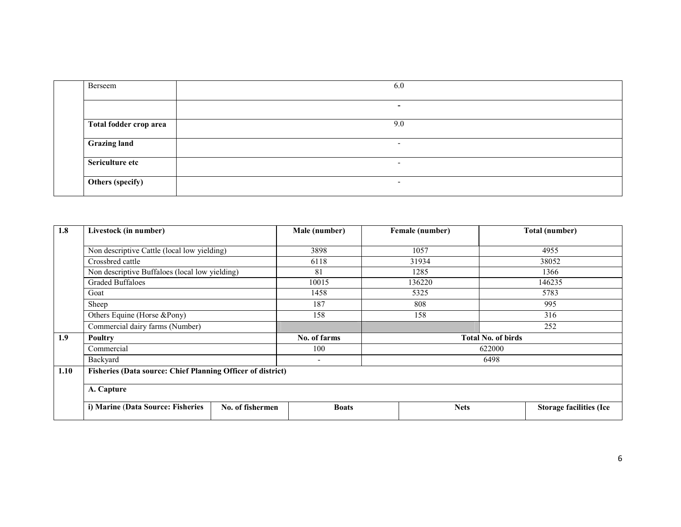| Berseem                | 6.0                      |
|------------------------|--------------------------|
|                        | $\overline{\phantom{a}}$ |
| Total fodder crop area | 9.0                      |
| <b>Grazing land</b>    | $\overline{\phantom{0}}$ |
| Sericulture etc        | $\overline{\phantom{0}}$ |
| Others (specify)       | $\overline{\phantom{a}}$ |

| 1.8  | Livestock (in number)                                              |                  | Male (number) | Female (number) |                           | Total (number)                 |  |  |
|------|--------------------------------------------------------------------|------------------|---------------|-----------------|---------------------------|--------------------------------|--|--|
|      | Non descriptive Cattle (local low yielding)                        |                  | 3898          | 1057            |                           | 4955                           |  |  |
|      | Crossbred cattle                                                   |                  | 6118          | 31934           |                           | 38052                          |  |  |
|      | Non descriptive Buffaloes (local low yielding)                     |                  | 81            | 1285            |                           | 1366                           |  |  |
|      | <b>Graded Buffaloes</b>                                            |                  | 10015         | 136220          |                           | 146235                         |  |  |
|      | Goat                                                               |                  | 1458          | 5325            |                           | 5783                           |  |  |
|      | Sheep                                                              |                  | 187           | 808             | 995                       |                                |  |  |
|      | Others Equine (Horse &Pony)                                        |                  | 158           | 158             | 316                       |                                |  |  |
|      | Commercial dairy farms (Number)                                    |                  |               |                 |                           | 252                            |  |  |
| 1.9  | Poultry                                                            |                  | No. of farms  |                 | <b>Total No. of birds</b> |                                |  |  |
|      | Commercial                                                         |                  | 100           |                 | 622000                    |                                |  |  |
|      | Backyard                                                           |                  | 6498<br>٠     |                 |                           |                                |  |  |
| 1.10 | <b>Fisheries (Data source: Chief Planning Officer of district)</b> |                  |               |                 |                           |                                |  |  |
|      | A. Capture                                                         |                  |               |                 |                           |                                |  |  |
|      | i) Marine (Data Source: Fisheries                                  | No. of fishermen | <b>Boats</b>  | <b>Nets</b>     |                           | <b>Storage facilities (Ice</b> |  |  |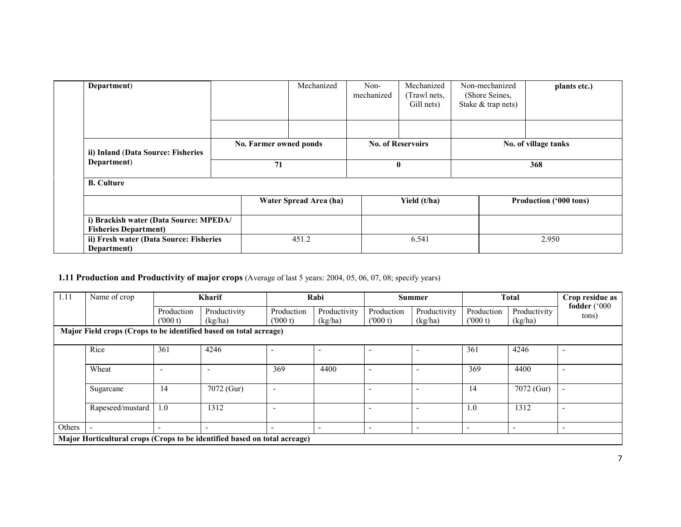| Department)                                                            |    | Mechanized             | Non-<br>mechanized | Mechanized<br>(Trawl nets,<br>Gill nets) | Non-mechanized<br>(Shore Seines,<br>Stake & trap nets) | plants etc.)           |
|------------------------------------------------------------------------|----|------------------------|--------------------|------------------------------------------|--------------------------------------------------------|------------------------|
|                                                                        |    |                        |                    |                                          |                                                        |                        |
| ii) Inland (Data Source: Fisheries                                     |    | No. Farmer owned ponds |                    | <b>No. of Reservoirs</b>                 |                                                        | No. of village tanks   |
| Department)                                                            | 71 |                        | 0                  |                                          | 368                                                    |                        |
| <b>B.</b> Culture                                                      |    |                        |                    |                                          |                                                        |                        |
|                                                                        |    | Water Spread Area (ha) |                    | Yield (t/ha)                             |                                                        | Production ('000 tons) |
| i) Brackish water (Data Source: MPEDA/<br><b>Fisheries Department)</b> |    |                        |                    |                                          |                                                        |                        |
| ii) Fresh water (Data Source: Fisheries<br>Department)                 |    | 451.2                  |                    | 6.541                                    |                                                        | 2.950                  |

#### **1.11 Production and Productivity of major crops** (Average of last 5 years: 2004, 05, 06, 07, 08; specify years)

| 1.11                                                              | Name of crop                                                              |                          | <b>Kharif</b>            |                          | Rabi                     |                          | <b>Summer</b>            |                          | <b>Total</b>             | Crop residue as       |
|-------------------------------------------------------------------|---------------------------------------------------------------------------|--------------------------|--------------------------|--------------------------|--------------------------|--------------------------|--------------------------|--------------------------|--------------------------|-----------------------|
|                                                                   |                                                                           | Production               | Productivity             | Production               | Productivity             | Production               | Productivity             | Production               | Productivity             | fodder ('000<br>tons) |
|                                                                   |                                                                           | (000 t)                  | (kg/ha)                  | (000 t)                  | (kg/ha)                  | (000 t)                  | (kg/ha)                  | (000 t)                  | (kg/ha)                  |                       |
| Major Field crops (Crops to be identified based on total acreage) |                                                                           |                          |                          |                          |                          |                          |                          |                          |                          |                       |
|                                                                   |                                                                           |                          |                          |                          |                          |                          |                          |                          |                          |                       |
|                                                                   | Rice                                                                      | 361                      | 4246                     |                          | ۰                        |                          |                          | 361                      | 4246                     | ٠                     |
|                                                                   | Wheat                                                                     |                          |                          | 369                      | 4400                     |                          |                          | 369                      | 4400                     |                       |
|                                                                   |                                                                           | -                        |                          |                          |                          |                          |                          |                          |                          |                       |
|                                                                   | Sugarcane                                                                 | 14                       | 7072 (Gur)               | $\overline{\phantom{a}}$ |                          |                          |                          | 14                       | 7072 (Gur)               | ٠                     |
|                                                                   |                                                                           |                          |                          |                          |                          |                          |                          |                          |                          |                       |
|                                                                   | Rapeseed/mustard                                                          | 1.0                      | 1312                     | ٠                        |                          |                          |                          | 1.0                      | 1312                     |                       |
|                                                                   |                                                                           |                          |                          |                          |                          |                          |                          |                          |                          |                       |
| Others                                                            |                                                                           | $\overline{\phantom{0}}$ | $\overline{\phantom{a}}$ |                          | $\overline{\phantom{a}}$ | $\overline{\phantom{a}}$ | $\overline{\phantom{a}}$ | $\overline{\phantom{0}}$ | $\overline{\phantom{a}}$ |                       |
|                                                                   | Major Horticultural crops (Crops to be identified based on total acreage) |                          |                          |                          |                          |                          |                          |                          |                          |                       |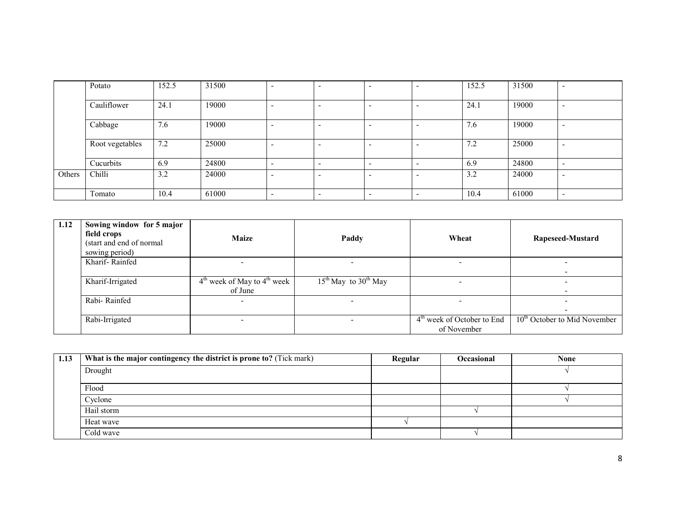|        | Potato          | 152.5 | 31500 |                          |                          | 152.5 | 31500 | $\overline{\phantom{0}}$ |
|--------|-----------------|-------|-------|--------------------------|--------------------------|-------|-------|--------------------------|
|        | Cauliflower     | 24.1  | 19000 |                          | . .                      | 24.1  | 19000 | $\overline{\phantom{0}}$ |
|        | Cabbage         | 7.6   | 19000 |                          | $\overline{\phantom{0}}$ | 7.6   | 19000 | $\overline{\phantom{0}}$ |
|        | Root vegetables | 7.2   | 25000 |                          |                          | 7.2   | 25000 | $\overline{\phantom{0}}$ |
|        | Cucurbits       | 6.9   | 24800 |                          |                          | 6.9   | 24800 | $\overline{\phantom{0}}$ |
| Others | Chilli          | 3.2   | 24000 |                          |                          | 3.2   | 24000 | $\overline{\phantom{0}}$ |
|        | Tomato          | 10.4  | 61000 | $\overline{\phantom{a}}$ | $\overline{\phantom{0}}$ | 10.4  | 61000 | $\overline{\phantom{0}}$ |

| 1.12 | Sowing window for 5 major<br>field crops<br>(start and end of normal<br>sowing period) | <b>Maize</b>                               | Paddy                              | Wheat                                       | Rapeseed-Mustard               |
|------|----------------------------------------------------------------------------------------|--------------------------------------------|------------------------------------|---------------------------------------------|--------------------------------|
|      | Kharif-Rainfed                                                                         |                                            |                                    |                                             | -                              |
|      | Kharif-Irrigated                                                                       | $4th$ week of May to $4th$ week<br>of June | $15th$ May to 30 <sup>th</sup> May |                                             |                                |
|      | Rabi-Rainfed                                                                           |                                            |                                    |                                             |                                |
|      | Rabi-Irrigated                                                                         |                                            |                                    | $4th$ week of October to End<br>of November | $10th$ October to Mid November |

| 1.13 | What is the major contingency the district is prone to? (Tick mark) | Regular | <b>Occasional</b> | <b>None</b> |
|------|---------------------------------------------------------------------|---------|-------------------|-------------|
|      | Drought                                                             |         |                   |             |
|      | Flood                                                               |         |                   |             |
|      | Cyclone                                                             |         |                   |             |
|      | Hail storm                                                          |         |                   |             |
|      | Heat wave                                                           |         |                   |             |
|      | Cold wave                                                           |         |                   |             |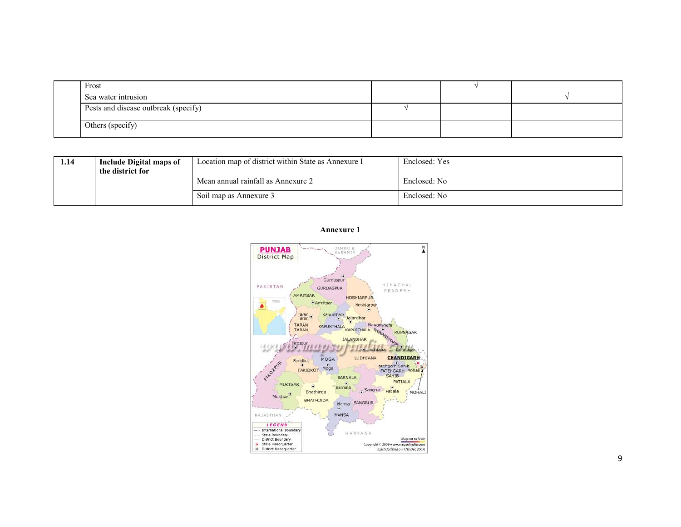| Frost                                |  |  |
|--------------------------------------|--|--|
| Sea water intrusion                  |  |  |
| Pests and disease outbreak (specify) |  |  |
| Others (specify)                     |  |  |

| 1.14 | <b>Include Digital maps of</b><br>the district for | Location map of district within State as Annexure I | Enclosed: Yes |
|------|----------------------------------------------------|-----------------------------------------------------|---------------|
|      |                                                    | Mean annual rainfall as Annexure 2                  | Enclosed: No  |
|      |                                                    | Soil map as Annexure 3                              | Enclosed: No  |

#### Annexure 1

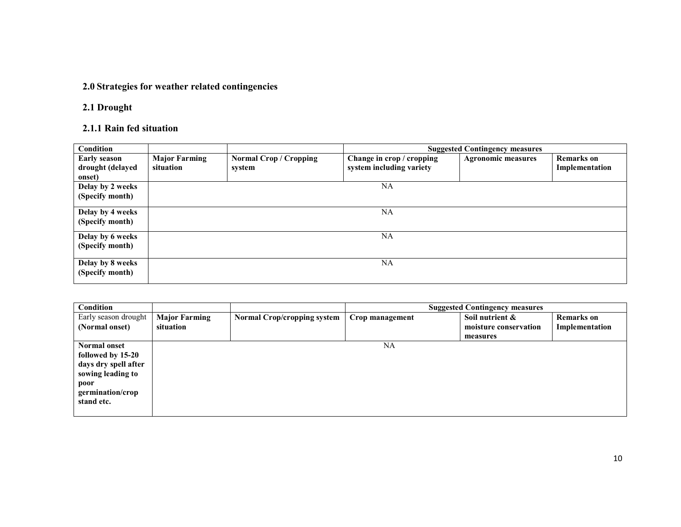# 2.0 Strategies for weather related contingencies

# 2.1 Drought

### 2.1.1 Rain fed situation

| <b>Condition</b>                                  |                                   |                                         |                                                       | <b>Suggested Contingency measures</b> |                                     |
|---------------------------------------------------|-----------------------------------|-----------------------------------------|-------------------------------------------------------|---------------------------------------|-------------------------------------|
| <b>Early season</b><br>drought (delayed<br>onset) | <b>Major Farming</b><br>situation | <b>Normal Crop / Cropping</b><br>system | Change in crop / cropping<br>system including variety | <b>Agronomic measures</b>             | <b>Remarks</b> on<br>Implementation |
| Delay by 2 weeks<br>(Specify month)               |                                   |                                         | NA                                                    |                                       |                                     |
| Delay by 4 weeks<br>(Specify month)               |                                   |                                         | NA                                                    |                                       |                                     |
| Delay by 6 weeks<br>(Specify month)               |                                   |                                         | NA                                                    |                                       |                                     |
| Delay by 8 weeks<br>(Specify month)               |                                   |                                         | NA                                                    |                                       |                                     |

| Condition            |                      |                                    |                 | <b>Suggested Contingency measures</b> |                   |
|----------------------|----------------------|------------------------------------|-----------------|---------------------------------------|-------------------|
| Early season drought | <b>Major Farming</b> | <b>Normal Crop/cropping system</b> | Crop management | Soil nutrient &                       | <b>Remarks</b> on |
| (Normal onset)       | situation            |                                    |                 | moisture conservation                 | Implementation    |
|                      |                      |                                    |                 | measures                              |                   |
| Normal onset         |                      |                                    | NA              |                                       |                   |
| followed by 15-20    |                      |                                    |                 |                                       |                   |
| days dry spell after |                      |                                    |                 |                                       |                   |
| sowing leading to    |                      |                                    |                 |                                       |                   |
| poor                 |                      |                                    |                 |                                       |                   |
| germination/crop     |                      |                                    |                 |                                       |                   |
| stand etc.           |                      |                                    |                 |                                       |                   |
|                      |                      |                                    |                 |                                       |                   |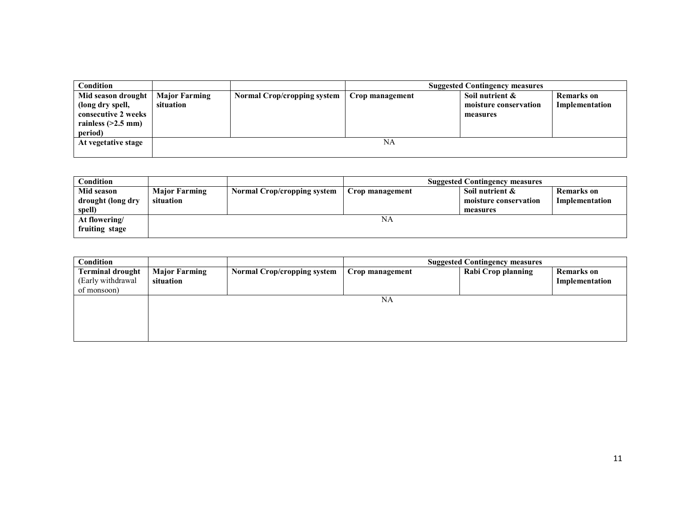| Condition                                                                                        |                                   |                             |                 | <b>Suggested Contingency measures</b>                |                                     |
|--------------------------------------------------------------------------------------------------|-----------------------------------|-----------------------------|-----------------|------------------------------------------------------|-------------------------------------|
| Mid season drought<br>(long dry spell,<br>consecutive 2 weeks<br>rainless $(>2.5$ mm)<br>period) | <b>Major Farming</b><br>situation | Normal Crop/cropping system | Crop management | Soil nutrient &<br>moisture conservation<br>measures | <b>Remarks</b> on<br>Implementation |
| At vegetative stage                                                                              |                                   |                             | NA              |                                                      |                                     |

| Condition         |                      |                                    |                 | <b>Suggested Contingency measures</b> |                |
|-------------------|----------------------|------------------------------------|-----------------|---------------------------------------|----------------|
| Mid season        | <b>Major Farming</b> | <b>Normal Crop/cropping system</b> | Crop management | Soil nutrient &                       | Remarks on     |
| drought (long dry | situation            |                                    |                 | moisture conservation                 | Implementation |
| spell)            |                      |                                    |                 | measures                              |                |
| At flowering/     |                      |                                    | NA              |                                       |                |
| fruiting stage    |                      |                                    |                 |                                       |                |

| Condition                                                   |                                   |                                    |                 | <b>Suggested Contingency measures</b> |                                     |
|-------------------------------------------------------------|-----------------------------------|------------------------------------|-----------------|---------------------------------------|-------------------------------------|
| <b>Terminal drought</b><br>(Early withdrawal<br>of monsoon) | <b>Major Farming</b><br>situation | <b>Normal Crop/cropping system</b> | Crop management | <b>Rabi Crop planning</b>             | <b>Remarks</b> on<br>Implementation |
|                                                             |                                   |                                    | NA              |                                       |                                     |
|                                                             |                                   |                                    |                 |                                       |                                     |
|                                                             |                                   |                                    |                 |                                       |                                     |
|                                                             |                                   |                                    |                 |                                       |                                     |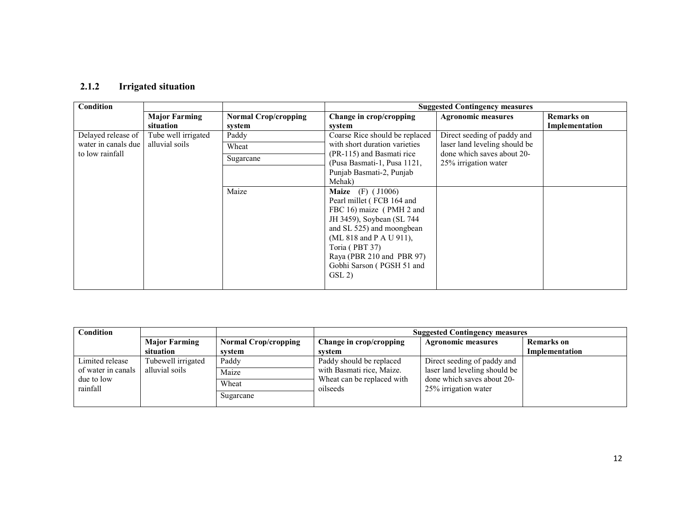### 2.1.2 Irrigated situation

| Condition                                                    |                                   |                                       |                                                                                                                                                                                                                                                                | <b>Suggested Contingency measures</b>                       |                                     |
|--------------------------------------------------------------|-----------------------------------|---------------------------------------|----------------------------------------------------------------------------------------------------------------------------------------------------------------------------------------------------------------------------------------------------------------|-------------------------------------------------------------|-------------------------------------|
|                                                              | <b>Major Farming</b><br>situation | <b>Normal Crop/cropping</b><br>system | Change in crop/cropping<br>system                                                                                                                                                                                                                              | <b>Agronomic measures</b>                                   | <b>Remarks</b> on<br>Implementation |
| Delayed release of<br>water in canals due<br>to low rainfall | Tube well irrigated               | Paddy                                 | Coarse Rice should be replaced                                                                                                                                                                                                                                 | Direct seeding of paddy and                                 |                                     |
|                                                              | alluvial soils                    | Wheat                                 | with short duration varieties                                                                                                                                                                                                                                  | laser land leveling should be<br>done which saves about 20- |                                     |
|                                                              |                                   | Sugarcane                             | (PR-115) and Basmati rice<br>(Pusa Basmati-1, Pusa 1121,                                                                                                                                                                                                       | 25% irrigation water                                        |                                     |
|                                                              |                                   |                                       | Punjab Basmati-2, Punjab                                                                                                                                                                                                                                       |                                                             |                                     |
|                                                              |                                   |                                       | Mehak)                                                                                                                                                                                                                                                         |                                                             |                                     |
|                                                              |                                   | Maize                                 | <b>Maize</b> (F) $(11006)$<br>Pearl millet (FCB 164 and<br>FBC 16) maize (PMH 2 and<br>JH 3459), Soybean (SL 744<br>and SL 525) and moongbean<br>(ML 818 and P A U 911),<br>Toria (PBT 37)<br>Raya (PBR 210 and PBR 97)<br>Gobhi Sarson (PGSH 51 and<br>GSL(2) |                                                             |                                     |

| Condition          |                      |                             | <b>Suggested Contingency measures</b> |                               |                   |  |
|--------------------|----------------------|-----------------------------|---------------------------------------|-------------------------------|-------------------|--|
|                    | <b>Major Farming</b> | <b>Normal Crop/cropping</b> | Change in crop/cropping               | <b>Agronomic measures</b>     | <b>Remarks</b> on |  |
|                    | situation            | svstem                      | svstem                                |                               | Implementation    |  |
| Limited release    | Tubewell irrigated   | Paddy                       | Paddy should be replaced              | Direct seeding of paddy and   |                   |  |
| of water in canals | alluvial soils       | Maize                       | with Basmati rice, Maize.             | laser land leveling should be |                   |  |
| due to low         |                      | Wheat                       | Wheat can be replaced with            | done which saves about 20-    |                   |  |
| rainfall           |                      | Sugarcane                   | oilseeds                              | 25% irrigation water          |                   |  |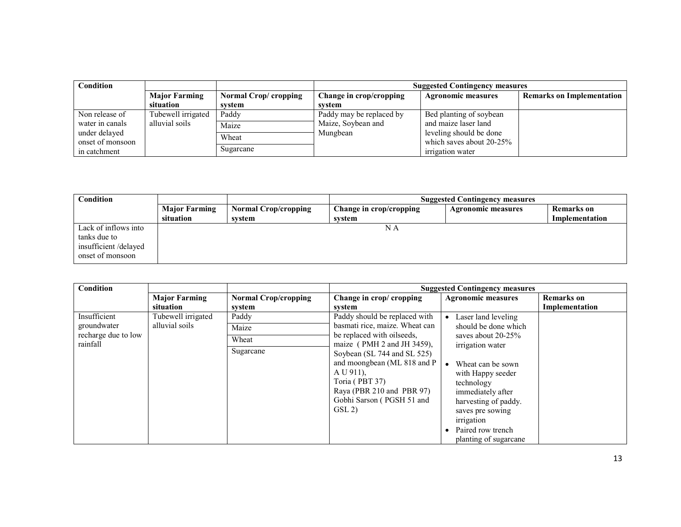| Condition        |                      |                       |                          | <b>Suggested Contingency measures</b> |                                  |  |  |
|------------------|----------------------|-----------------------|--------------------------|---------------------------------------|----------------------------------|--|--|
|                  | <b>Major Farming</b> | Normal Crop/ cropping | Change in crop/cropping  | <b>Agronomic measures</b>             | <b>Remarks on Implementation</b> |  |  |
|                  | situation            | svstem                | svstem                   |                                       |                                  |  |  |
| Non release of   | Tubewell irrigated   | Paddy                 | Paddy may be replaced by | Bed planting of soybean               |                                  |  |  |
| water in canals  | alluvial soils       | Maize                 | Maize, Soybean and       | and maize laser land                  |                                  |  |  |
| under delayed    |                      | Wheat                 | Mungbean                 | leveling should be done               |                                  |  |  |
| onset of monsoon |                      |                       |                          | which saves about 20-25%              |                                  |  |  |
| in catchment     |                      | Sugarcane             |                          | irrigation water                      |                                  |  |  |

| Condition            |                      |                             | <b>Suggested Contingency measures</b> |                    |                   |  |
|----------------------|----------------------|-----------------------------|---------------------------------------|--------------------|-------------------|--|
|                      | <b>Major Farming</b> | <b>Normal Crop/cropping</b> | Change in crop/cropping               | Agronomic measures | <b>Remarks</b> on |  |
|                      | situation            | svstem                      | system                                |                    | Implementation    |  |
| Lack of inflows into |                      |                             | ΝA                                    |                    |                   |  |
| tanks due to         |                      |                             |                                       |                    |                   |  |
| insufficient/delayed |                      |                             |                                       |                    |                   |  |
| onset of monsoon     |                      |                             |                                       |                    |                   |  |
|                      |                      |                             |                                       |                    |                   |  |

| Condition           |                      |                             |                                                                                                                                                                                               | <b>Suggested Contingency measures</b>                                                                                                                                                                 |                   |
|---------------------|----------------------|-----------------------------|-----------------------------------------------------------------------------------------------------------------------------------------------------------------------------------------------|-------------------------------------------------------------------------------------------------------------------------------------------------------------------------------------------------------|-------------------|
|                     | <b>Major Farming</b> | <b>Normal Crop/cropping</b> | Change in crop/ cropping                                                                                                                                                                      | <b>Agronomic measures</b>                                                                                                                                                                             | <b>Remarks</b> on |
|                     | situation            | system                      | system                                                                                                                                                                                        |                                                                                                                                                                                                       | Implementation    |
| Insufficient        | Tubewell irrigated   | Paddy                       | Paddy should be replaced with                                                                                                                                                                 | Laser land leveling                                                                                                                                                                                   |                   |
| groundwater         | alluvial soils       | Maize                       | basmati rice, maize. Wheat can                                                                                                                                                                | should be done which                                                                                                                                                                                  |                   |
| recharge due to low |                      | Wheat                       | be replaced with oilseeds,                                                                                                                                                                    | saves about 20-25%                                                                                                                                                                                    |                   |
| rainfall            |                      | Sugarcane                   | maize (PMH 2 and JH 3459),<br>Soybean (SL 744 and SL 525)<br>and moongbean (ML 818 and P<br>$A U 911$ ).<br>Toria (PBT 37)<br>Raya (PBR 210 and PBR 97)<br>Gobhi Sarson (PGSH 51 and<br>GSL 2 | irrigation water<br>Wheat can be sown<br>with Happy seeder<br>technology<br>immediately after<br>harvesting of paddy.<br>saves pre sowing<br>irrigation<br>Paired row trench<br>planting of sugarcane |                   |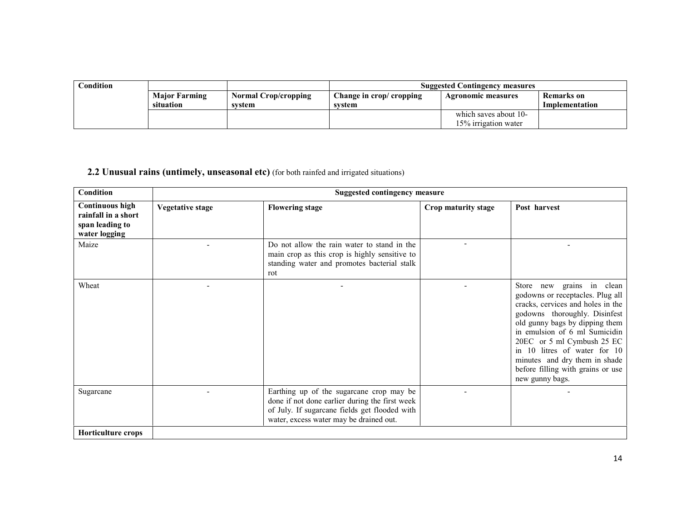| $\Gamma$ ondition |                      |                             | <b>Suggested Contingency measures</b> |                           |                |  |
|-------------------|----------------------|-----------------------------|---------------------------------------|---------------------------|----------------|--|
|                   | <b>Major Farming</b> | <b>Normal Crop/cropping</b> | Change in crop/ cropping              | <b>Agronomic measures</b> | Remarks on     |  |
|                   | situation            | system                      | svstem                                |                           | Implementation |  |
|                   |                      |                             |                                       | which saves about 10-     |                |  |
|                   |                      |                             |                                       | 15% irrigation water      |                |  |

# 2.2 Unusual rains (untimely, unseasonal etc) (for both rainfed and irrigated situations)

| <b>Condition</b>                                                                  | <b>Suggested contingency measure</b> |                                                                                                                                                                                        |                     |                                                                                                                                                                                                                                                                                                                                                               |  |  |  |
|-----------------------------------------------------------------------------------|--------------------------------------|----------------------------------------------------------------------------------------------------------------------------------------------------------------------------------------|---------------------|---------------------------------------------------------------------------------------------------------------------------------------------------------------------------------------------------------------------------------------------------------------------------------------------------------------------------------------------------------------|--|--|--|
| <b>Continuous high</b><br>rainfall in a short<br>span leading to<br>water logging | <b>Vegetative stage</b>              | <b>Flowering stage</b>                                                                                                                                                                 | Crop maturity stage | Post harvest                                                                                                                                                                                                                                                                                                                                                  |  |  |  |
| Maize                                                                             |                                      | Do not allow the rain water to stand in the<br>main crop as this crop is highly sensitive to<br>standing water and promotes bacterial stalk<br>rot                                     |                     |                                                                                                                                                                                                                                                                                                                                                               |  |  |  |
| Wheat                                                                             |                                      |                                                                                                                                                                                        |                     | Store new grains in clean<br>godowns or receptacles. Plug all<br>cracks, cervices and holes in the<br>godowns thoroughly. Disinfest<br>old gunny bags by dipping them<br>in emulsion of 6 ml Sumicidin<br>20EC or 5 ml Cymbush 25 EC<br>in 10 litres of water for 10<br>minutes and dry them in shade<br>before filling with grains or use<br>new gunny bags. |  |  |  |
| Sugarcane                                                                         |                                      | Earthing up of the sugarcane crop may be<br>done if not done earlier during the first week<br>of July. If sugarcane fields get flooded with<br>water, excess water may be drained out. |                     |                                                                                                                                                                                                                                                                                                                                                               |  |  |  |
| Horticulture crops                                                                |                                      |                                                                                                                                                                                        |                     |                                                                                                                                                                                                                                                                                                                                                               |  |  |  |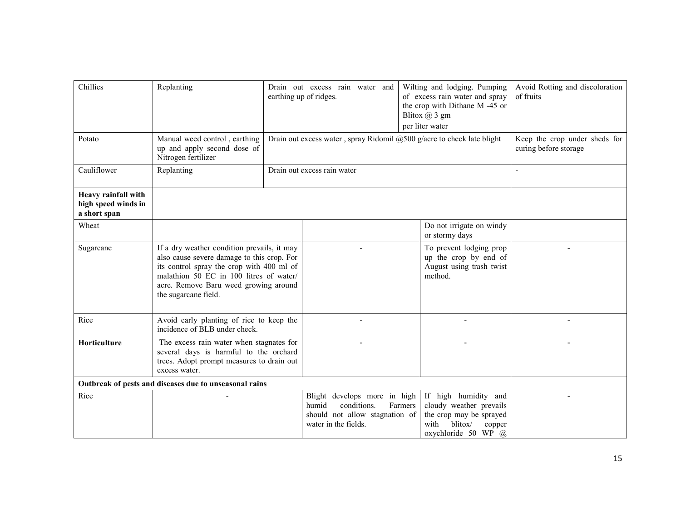| Chillies                                                   | Replanting                                                                                                                                                                                                                                         |  | Drain out excess rain water and<br>earthing up of ridges.                                                      | Wilting and lodging. Pumping<br>of excess rain water and spray<br>the crop with Dithane M -45 or<br>Blitox $(a)$ 3 gm<br>per liter water |                                                                                                                 | Avoid Rotting and discoloration<br>of fruits           |
|------------------------------------------------------------|----------------------------------------------------------------------------------------------------------------------------------------------------------------------------------------------------------------------------------------------------|--|----------------------------------------------------------------------------------------------------------------|------------------------------------------------------------------------------------------------------------------------------------------|-----------------------------------------------------------------------------------------------------------------|--------------------------------------------------------|
| Potato                                                     | Manual weed control, earthing<br>up and apply second dose of<br>Nitrogen fertilizer                                                                                                                                                                |  | Drain out excess water, spray Ridomil $@500$ g/acre to check late blight                                       |                                                                                                                                          |                                                                                                                 | Keep the crop under sheds for<br>curing before storage |
| Cauliflower                                                | Replanting                                                                                                                                                                                                                                         |  | Drain out excess rain water                                                                                    |                                                                                                                                          |                                                                                                                 |                                                        |
| Heavy rainfall with<br>high speed winds in<br>a short span |                                                                                                                                                                                                                                                    |  |                                                                                                                |                                                                                                                                          |                                                                                                                 |                                                        |
| Wheat                                                      |                                                                                                                                                                                                                                                    |  |                                                                                                                | or stormy days                                                                                                                           | Do not irrigate on windy                                                                                        |                                                        |
| Sugarcane                                                  | If a dry weather condition prevails, it may<br>also cause severe damage to this crop. For<br>its control spray the crop with 400 ml of<br>malathion 50 EC in 100 litres of water/<br>acre. Remove Baru weed growing around<br>the sugarcane field. |  |                                                                                                                | method.                                                                                                                                  | To prevent lodging prop<br>up the crop by end of<br>August using trash twist                                    |                                                        |
| Rice                                                       | Avoid early planting of rice to keep the<br>incidence of BLB under check.                                                                                                                                                                          |  |                                                                                                                |                                                                                                                                          | ÷,                                                                                                              |                                                        |
| Horticulture                                               | The excess rain water when stagnates for<br>several days is harmful to the orchard<br>trees. Adopt prompt measures to drain out<br>excess water.                                                                                                   |  |                                                                                                                |                                                                                                                                          |                                                                                                                 |                                                        |
|                                                            | Outbreak of pests and diseases due to unseasonal rains                                                                                                                                                                                             |  |                                                                                                                |                                                                                                                                          |                                                                                                                 |                                                        |
| Rice                                                       |                                                                                                                                                                                                                                                    |  | Blight develops more in high<br>conditions.<br>humid<br>should not allow stagnation of<br>water in the fields. | Farmers<br>blitox/<br>with                                                                                                               | If high humidity and<br>cloudy weather prevails<br>the crop may be sprayed<br>copper<br>oxychloride 50 WP $(a)$ |                                                        |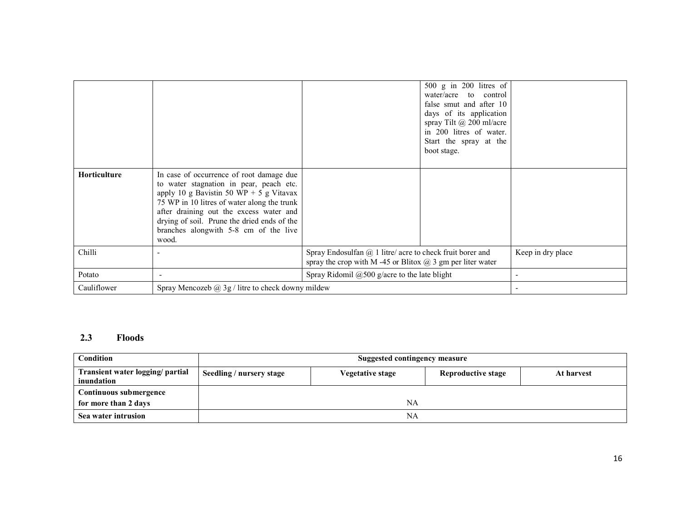|                     |                                                                                                                                                                                                                                                                                                                           |                                                                                                                                   | $500 \text{ g}$ in 200 litres of<br>water/acre<br>to control<br>false smut and after 10<br>days of its application<br>spray Tilt $\omega$ 200 ml/acre<br>in 200 litres of water.<br>Start the spray at the<br>boot stage. |                   |
|---------------------|---------------------------------------------------------------------------------------------------------------------------------------------------------------------------------------------------------------------------------------------------------------------------------------------------------------------------|-----------------------------------------------------------------------------------------------------------------------------------|---------------------------------------------------------------------------------------------------------------------------------------------------------------------------------------------------------------------------|-------------------|
| <b>Horticulture</b> | In case of occurrence of root damage due<br>to water stagnation in pear, peach etc.<br>apply 10 g Bavistin 50 WP + 5 g Vitavax<br>75 WP in 10 litres of water along the trunk<br>after draining out the excess water and<br>drying of soil. Prune the dried ends of the<br>branches alongwith 5-8 cm of the live<br>wood. |                                                                                                                                   |                                                                                                                                                                                                                           |                   |
| Chilli              | ۰                                                                                                                                                                                                                                                                                                                         | Spray Endosulfan $(a)$ 1 litre/ acre to check fruit borer and<br>spray the crop with M-45 or Blitox $\omega$ 3 gm per liter water |                                                                                                                                                                                                                           | Keep in dry place |
| Potato              |                                                                                                                                                                                                                                                                                                                           | Spray Ridomil $@500$ g/acre to the late blight                                                                                    |                                                                                                                                                                                                                           |                   |
| Cauliflower         | Spray Mencozeb $(a)$ , 3g / litre to check downy mildew                                                                                                                                                                                                                                                                   |                                                                                                                                   |                                                                                                                                                                                                                           |                   |

# 2.3 Floods

| Condition                                      |                          | Suggested contingency measure |                           |            |  |  |  |
|------------------------------------------------|--------------------------|-------------------------------|---------------------------|------------|--|--|--|
| Transient water logging/ partial<br>inundation | Seedling / nursery stage | Vegetative stage              | <b>Reproductive stage</b> | At harvest |  |  |  |
| Continuous submergence                         |                          |                               |                           |            |  |  |  |
| for more than 2 days                           |                          | NA                            |                           |            |  |  |  |
| Sea water intrusion                            |                          | NA                            |                           |            |  |  |  |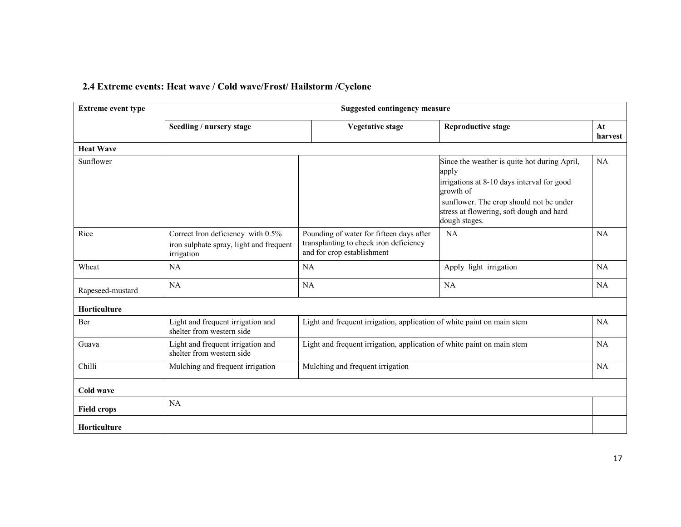| <b>Extreme event type</b> | <b>Suggested contingency measure</b>                           |                                                                        |                                                                                                      |               |  |  |  |
|---------------------------|----------------------------------------------------------------|------------------------------------------------------------------------|------------------------------------------------------------------------------------------------------|---------------|--|--|--|
|                           | Seedling / nursery stage                                       | <b>Vegetative stage</b>                                                | <b>Reproductive stage</b>                                                                            | At<br>harvest |  |  |  |
| <b>Heat Wave</b>          |                                                                |                                                                        |                                                                                                      |               |  |  |  |
| Sunflower                 |                                                                |                                                                        | Since the weather is quite hot during April,<br>apply                                                | <b>NA</b>     |  |  |  |
|                           |                                                                |                                                                        | irrigations at 8-10 days interval for good<br>growth of                                              |               |  |  |  |
|                           |                                                                |                                                                        | sunflower. The crop should not be under<br>stress at flowering, soft dough and hard<br>dough stages. |               |  |  |  |
| Rice                      | Correct Iron deficiency with 0.5%                              | Pounding of water for fifteen days after                               | <b>NA</b>                                                                                            | <b>NA</b>     |  |  |  |
|                           | iron sulphate spray, light and frequent<br>irrigation          | transplanting to check iron deficiency<br>and for crop establishment   |                                                                                                      |               |  |  |  |
| Wheat                     | NA                                                             | NA                                                                     | Apply light irrigation                                                                               | <b>NA</b>     |  |  |  |
| Rapeseed-mustard          | NA                                                             | <b>NA</b>                                                              | <b>NA</b>                                                                                            | <b>NA</b>     |  |  |  |
| Horticulture              |                                                                |                                                                        |                                                                                                      |               |  |  |  |
| Ber                       | Light and frequent irrigation and<br>shelter from western side | Light and frequent irrigation, application of white paint on main stem |                                                                                                      | <b>NA</b>     |  |  |  |
| Guava                     | Light and frequent irrigation and<br>shelter from western side | Light and frequent irrigation, application of white paint on main stem |                                                                                                      | <b>NA</b>     |  |  |  |
| Chilli                    | Mulching and frequent irrigation                               | Mulching and frequent irrigation                                       |                                                                                                      | <b>NA</b>     |  |  |  |
| Cold wave                 |                                                                |                                                                        |                                                                                                      |               |  |  |  |
| <b>Field crops</b>        | <b>NA</b>                                                      |                                                                        |                                                                                                      |               |  |  |  |
| <b>Horticulture</b>       |                                                                |                                                                        |                                                                                                      |               |  |  |  |

#### 2.4 Extreme events: Heat wave / Cold wave/Frost/ Hailstorm /Cyclone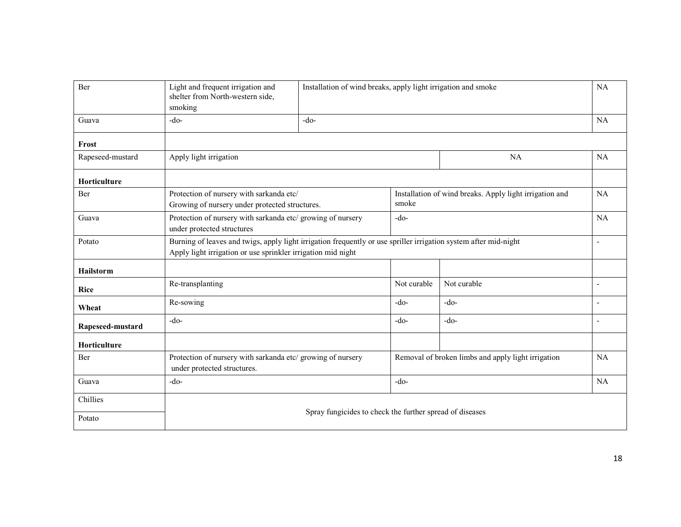| Ber                 | Light and frequent irrigation and<br>shelter from North-western side,<br>smoking                                                                                                 |                                                          | Installation of wind breaks, apply light irrigation and smoke |                                                         |    |
|---------------------|----------------------------------------------------------------------------------------------------------------------------------------------------------------------------------|----------------------------------------------------------|---------------------------------------------------------------|---------------------------------------------------------|----|
| Guava               | $-do-$                                                                                                                                                                           | $-do-$                                                   |                                                               |                                                         | NA |
| Frost               |                                                                                                                                                                                  |                                                          |                                                               |                                                         |    |
| Rapeseed-mustard    | Apply light irrigation                                                                                                                                                           |                                                          |                                                               | <b>NA</b>                                               | NA |
| Horticulture        |                                                                                                                                                                                  |                                                          |                                                               |                                                         |    |
| Ber                 | Protection of nursery with sarkanda etc/<br>Growing of nursery under protected structures.                                                                                       |                                                          | smoke                                                         | Installation of wind breaks. Apply light irrigation and | NA |
| Guava               | Protection of nursery with sarkanda etc/ growing of nursery<br>under protected structures                                                                                        |                                                          | $-do-$                                                        |                                                         | NA |
| Potato              | Burning of leaves and twigs, apply light irrigation frequently or use spriller irrigation system after mid-night<br>Apply light irrigation or use sprinkler irrigation mid night |                                                          |                                                               |                                                         |    |
| <b>Hailstorm</b>    |                                                                                                                                                                                  |                                                          |                                                               |                                                         |    |
| <b>Rice</b>         | Re-transplanting                                                                                                                                                                 |                                                          | Not curable                                                   | Not curable                                             |    |
| Wheat               | Re-sowing                                                                                                                                                                        |                                                          | $-do-$                                                        | $-do-$                                                  |    |
| Rapeseed-mustard    | $-do-$                                                                                                                                                                           |                                                          | $-do-$                                                        | $-do-$                                                  |    |
| <b>Horticulture</b> |                                                                                                                                                                                  |                                                          |                                                               |                                                         |    |
| Ber                 | Protection of nursery with sarkanda etc/ growing of nursery<br>under protected structures.                                                                                       |                                                          |                                                               | Removal of broken limbs and apply light irrigation      | NA |
| Guava               | -do-                                                                                                                                                                             |                                                          | $-do-$                                                        |                                                         | NA |
| Chillies            |                                                                                                                                                                                  |                                                          |                                                               |                                                         |    |
| Potato              |                                                                                                                                                                                  | Spray fungicides to check the further spread of diseases |                                                               |                                                         |    |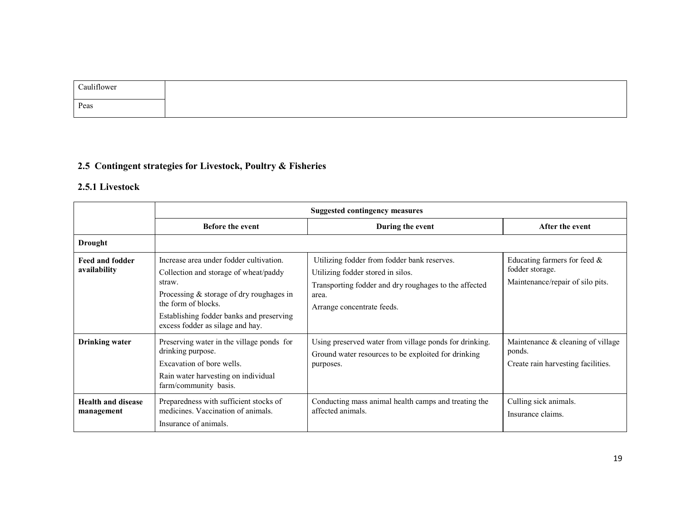| Cauliflower |  |
|-------------|--|
| Peas        |  |

# 2.5 Contingent strategies for Livestock, Poultry & Fisheries

# 2.5.1 Livestock

|                                         | <b>Suggested contingency measures</b>                                                                                                                                                                                                         |                                                                                                                                                                                  |                                                                                        |  |
|-----------------------------------------|-----------------------------------------------------------------------------------------------------------------------------------------------------------------------------------------------------------------------------------------------|----------------------------------------------------------------------------------------------------------------------------------------------------------------------------------|----------------------------------------------------------------------------------------|--|
|                                         | <b>Before the event</b>                                                                                                                                                                                                                       | During the event                                                                                                                                                                 | After the event                                                                        |  |
| Drought                                 |                                                                                                                                                                                                                                               |                                                                                                                                                                                  |                                                                                        |  |
| Feed and fodder<br>availability         | Increase area under fodder cultivation.<br>Collection and storage of wheat/paddy<br>straw.<br>Processing & storage of dry roughages in<br>the form of blocks.<br>Establishing fodder banks and preserving<br>excess fodder as silage and hay. | Utilizing fodder from fodder bank reserves.<br>Utilizing fodder stored in silos.<br>Transporting fodder and dry roughages to the affected<br>area.<br>Arrange concentrate feeds. | Educating farmers for feed $\&$<br>fodder storage.<br>Maintenance/repair of silo pits. |  |
| <b>Drinking</b> water                   | Preserving water in the village ponds for<br>drinking purpose.<br>Excavation of bore wells.<br>Rain water harvesting on individual<br>farm/community basis.                                                                                   | Using preserved water from village ponds for drinking.<br>Ground water resources to be exploited for drinking<br>purposes.                                                       | Maintenance & cleaning of village<br>ponds.<br>Create rain harvesting facilities.      |  |
| <b>Health and disease</b><br>management | Preparedness with sufficient stocks of<br>medicines. Vaccination of animals.<br>Insurance of animals.                                                                                                                                         | Conducting mass animal health camps and treating the<br>affected animals.                                                                                                        | Culling sick animals.<br>Insurance claims.                                             |  |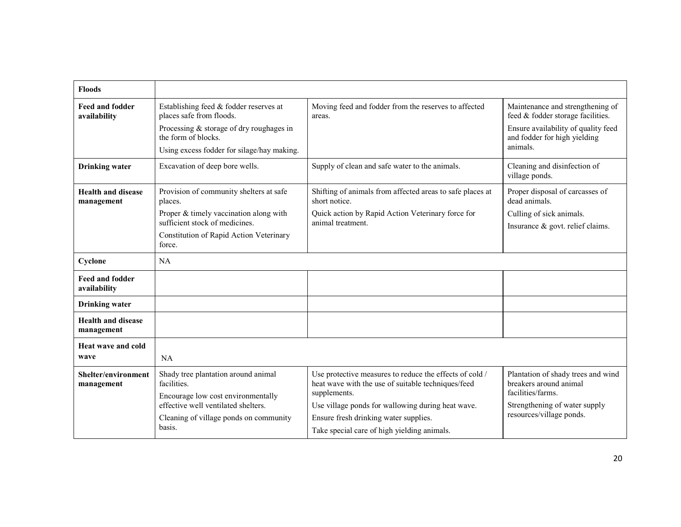| <b>Floods</b>                           |                                                                           |                                                                                                               |                                                                       |  |
|-----------------------------------------|---------------------------------------------------------------------------|---------------------------------------------------------------------------------------------------------------|-----------------------------------------------------------------------|--|
| <b>Feed and fodder</b><br>availability  | Establishing feed & fodder reserves at<br>places safe from floods.        | Moving feed and fodder from the reserves to affected<br>areas.                                                | Maintenance and strengthening of<br>feed & fodder storage facilities. |  |
|                                         | Processing & storage of dry roughages in<br>the form of blocks.           |                                                                                                               | Ensure availability of quality feed<br>and fodder for high yielding   |  |
|                                         | Using excess fodder for silage/hay making.                                |                                                                                                               | animals.                                                              |  |
| <b>Drinking water</b>                   | Excavation of deep bore wells.                                            | Supply of clean and safe water to the animals.                                                                | Cleaning and disinfection of<br>village ponds.                        |  |
| <b>Health and disease</b><br>management | Provision of community shelters at safe<br>places.                        | Shifting of animals from affected areas to safe places at<br>short notice.                                    | Proper disposal of carcasses of<br>dead animals.                      |  |
|                                         | Proper & timely vaccination along with                                    | Quick action by Rapid Action Veterinary force for                                                             | Culling of sick animals.                                              |  |
|                                         | sufficient stock of medicines                                             | animal treatment                                                                                              | Insurance $\&$ govt. relief claims.                                   |  |
|                                         | Constitution of Rapid Action Veterinary<br>force.                         |                                                                                                               |                                                                       |  |
| Cyclone                                 | <b>NA</b>                                                                 |                                                                                                               |                                                                       |  |
| <b>Feed and fodder</b><br>availability  |                                                                           |                                                                                                               |                                                                       |  |
| <b>Drinking</b> water                   |                                                                           |                                                                                                               |                                                                       |  |
| <b>Health and disease</b><br>management |                                                                           |                                                                                                               |                                                                       |  |
| Heat wave and cold                      |                                                                           |                                                                                                               |                                                                       |  |
| wave                                    | <b>NA</b>                                                                 |                                                                                                               |                                                                       |  |
| Shelter/environment<br>management       | Shady tree plantation around animal<br>facilities.                        | Use protective measures to reduce the effects of cold /<br>heat wave with the use of suitable techniques/feed | Plantation of shady trees and wind<br>breakers around animal          |  |
|                                         | Encourage low cost environmentally<br>effective well ventilated shelters. | supplements.<br>Use village ponds for wallowing during heat wave.                                             | facilities/farms.<br>Strengthening of water supply                    |  |
|                                         | Cleaning of village ponds on community                                    | Ensure fresh drinking water supplies.                                                                         | resources/village ponds.                                              |  |
|                                         | basis.                                                                    | Take special care of high yielding animals.                                                                   |                                                                       |  |
|                                         |                                                                           |                                                                                                               |                                                                       |  |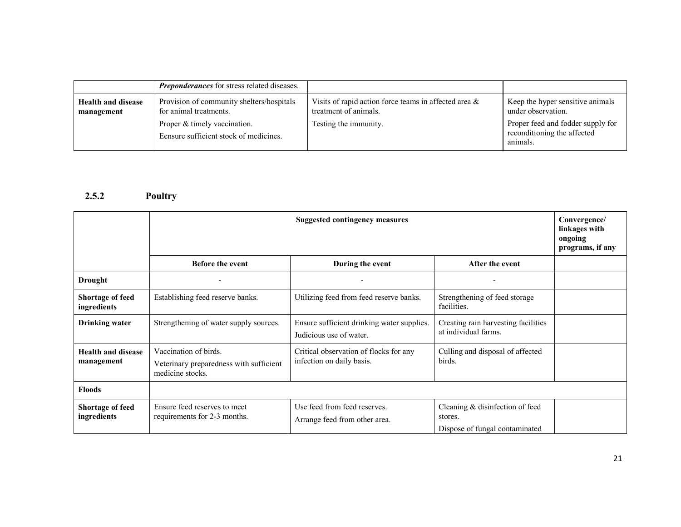|                                         | <b>Preponderances</b> for stress related diseases.                     |                                                                                   |                                                                              |
|-----------------------------------------|------------------------------------------------------------------------|-----------------------------------------------------------------------------------|------------------------------------------------------------------------------|
| <b>Health and disease</b><br>management | Provision of community shelters/hospitals<br>for animal treatments.    | Visits of rapid action force teams in affected area $\&$<br>treatment of animals. | Keep the hyper sensitive animals<br>under observation.                       |
|                                         | Proper & timely vaccination.<br>Eensure sufficient stock of medicines. | Testing the immunity.                                                             | Proper feed and fodder supply for<br>reconditioning the affected<br>animals. |

#### 2.5.2 Poultry

|                                         | Suggested contingency measures                                                       |                                                                       |                                                                              | Convergence/<br>linkages with<br>ongoing<br>programs, if any |
|-----------------------------------------|--------------------------------------------------------------------------------------|-----------------------------------------------------------------------|------------------------------------------------------------------------------|--------------------------------------------------------------|
|                                         | <b>Before the event</b>                                                              | During the event                                                      | After the event                                                              |                                                              |
| <b>Drought</b>                          |                                                                                      |                                                                       | ۰                                                                            |                                                              |
| Shortage of feed<br>ingredients         | Establishing feed reserve banks.                                                     | Utilizing feed from feed reserve banks.                               | Strengthening of feed storage<br>facilities.                                 |                                                              |
| <b>Drinking water</b>                   | Strengthening of water supply sources.                                               | Ensure sufficient drinking water supplies.<br>Judicious use of water. | Creating rain harvesting facilities<br>at individual farms.                  |                                                              |
| <b>Health and disease</b><br>management | Vaccination of birds.<br>Veterinary preparedness with sufficient<br>medicine stocks. | Critical observation of flocks for any<br>infection on daily basis.   | Culling and disposal of affected<br>birds.                                   |                                                              |
| <b>Floods</b>                           |                                                                                      |                                                                       |                                                                              |                                                              |
| Shortage of feed<br>ingredients         | Ensure feed reserves to meet<br>requirements for 2-3 months.                         | Use feed from feed reserves.<br>Arrange feed from other area.         | Cleaning & disinfection of feed<br>stores.<br>Dispose of fungal contaminated |                                                              |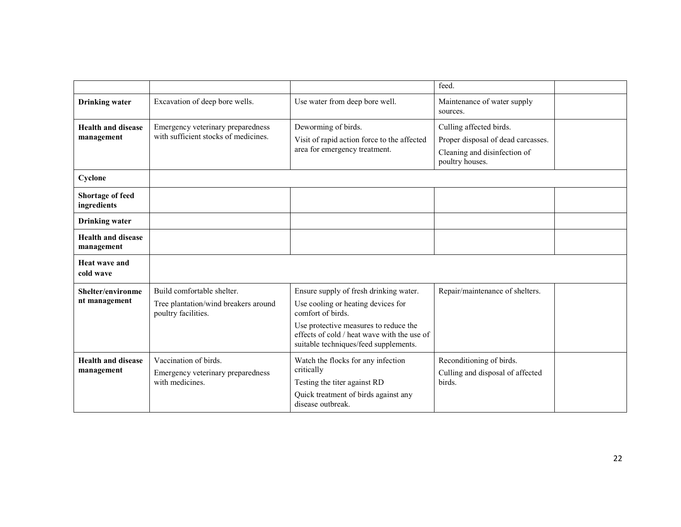|                                         |                                                                                           |                                                                                                                                                                                                                                    | feed.                                                                                                            |
|-----------------------------------------|-------------------------------------------------------------------------------------------|------------------------------------------------------------------------------------------------------------------------------------------------------------------------------------------------------------------------------------|------------------------------------------------------------------------------------------------------------------|
| <b>Drinking</b> water                   | Excavation of deep bore wells.                                                            | Use water from deep bore well.                                                                                                                                                                                                     | Maintenance of water supply<br>sources.                                                                          |
| <b>Health and disease</b><br>management | Emergency veterinary preparedness<br>with sufficient stocks of medicines.                 | Deworming of birds.<br>Visit of rapid action force to the affected<br>area for emergency treatment.                                                                                                                                | Culling affected birds.<br>Proper disposal of dead carcasses.<br>Cleaning and disinfection of<br>poultry houses. |
| Cyclone                                 |                                                                                           |                                                                                                                                                                                                                                    |                                                                                                                  |
| <b>Shortage of feed</b><br>ingredients  |                                                                                           |                                                                                                                                                                                                                                    |                                                                                                                  |
| <b>Drinking</b> water                   |                                                                                           |                                                                                                                                                                                                                                    |                                                                                                                  |
| <b>Health and disease</b><br>management |                                                                                           |                                                                                                                                                                                                                                    |                                                                                                                  |
| Heat wave and<br>cold wave              |                                                                                           |                                                                                                                                                                                                                                    |                                                                                                                  |
| Shelter/environme<br>nt management      | Build comfortable shelter.<br>Tree plantation/wind breakers around<br>poultry facilities. | Ensure supply of fresh drinking water.<br>Use cooling or heating devices for<br>comfort of birds.<br>Use protective measures to reduce the<br>effects of cold / heat wave with the use of<br>suitable techniques/feed supplements. | Repair/maintenance of shelters.                                                                                  |
| <b>Health and disease</b><br>management | Vaccination of birds.<br>Emergency veterinary preparedness<br>with medicines.             | Watch the flocks for any infection<br>critically<br>Testing the titer against RD<br>Quick treatment of birds against any<br>disease outbreak.                                                                                      | Reconditioning of birds.<br>Culling and disposal of affected<br>birds.                                           |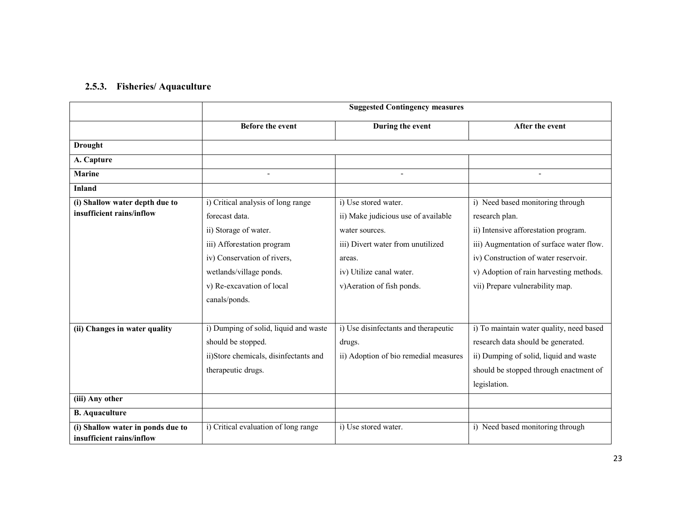#### 2.5.3. Fisheries/ Aquaculture

|                                                                | <b>Suggested Contingency measures</b> |                                       |                                          |  |
|----------------------------------------------------------------|---------------------------------------|---------------------------------------|------------------------------------------|--|
|                                                                | <b>Before the event</b>               | During the event                      | After the event                          |  |
| <b>Drought</b>                                                 |                                       |                                       |                                          |  |
| A. Capture                                                     |                                       |                                       |                                          |  |
| <b>Marine</b>                                                  |                                       |                                       |                                          |  |
| <b>Inland</b>                                                  |                                       |                                       |                                          |  |
| (i) Shallow water depth due to                                 | i) Critical analysis of long range    | i) Use stored water.                  | i) Need based monitoring through         |  |
| insufficient rains/inflow                                      | forecast data.                        | ii) Make judicious use of available   | research plan.                           |  |
|                                                                | ii) Storage of water.                 | water sources.                        | ii) Intensive afforestation program.     |  |
|                                                                | iii) Afforestation program            | iii) Divert water from unutilized     | iii) Augmentation of surface water flow. |  |
|                                                                | iv) Conservation of rivers,           | areas.                                | iv) Construction of water reservoir.     |  |
|                                                                | wetlands/village ponds.               | iv) Utilize canal water.              | v) Adoption of rain harvesting methods.  |  |
|                                                                | v) Re-excavation of local             | v)Aeration of fish ponds.             | vii) Prepare vulnerability map.          |  |
|                                                                | canals/ponds.                         |                                       |                                          |  |
|                                                                |                                       |                                       |                                          |  |
| (ii) Changes in water quality                                  | i) Dumping of solid, liquid and waste | i) Use disinfectants and therapeutic  | i) To maintain water quality, need based |  |
|                                                                | should be stopped.                    | drugs.                                | research data should be generated.       |  |
|                                                                | ii)Store chemicals, disinfectants and | ii) Adoption of bio remedial measures | ii) Dumping of solid, liquid and waste   |  |
|                                                                | therapeutic drugs.                    |                                       | should be stopped through enactment of   |  |
|                                                                |                                       |                                       | legislation.                             |  |
| (iii) Any other                                                |                                       |                                       |                                          |  |
| <b>B.</b> Aquaculture                                          |                                       |                                       |                                          |  |
| (i) Shallow water in ponds due to<br>insufficient rains/inflow | i) Critical evaluation of long range  | i) Use stored water.                  | i) Need based monitoring through         |  |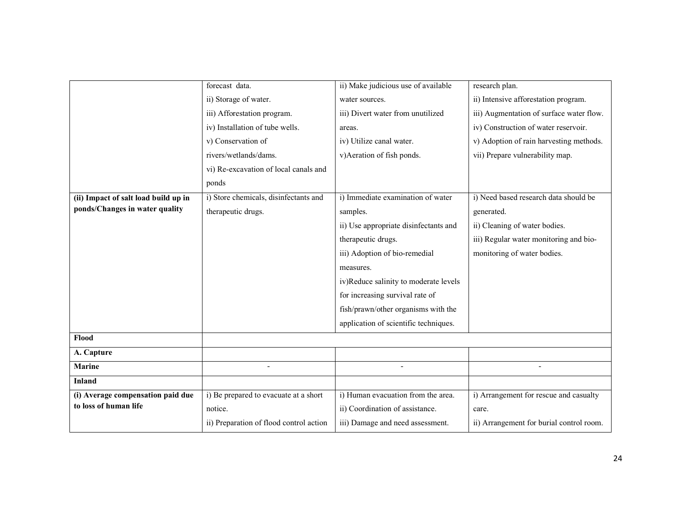|                                      | forecast data.                          | ii) Make judicious use of available   | research plan.                           |
|--------------------------------------|-----------------------------------------|---------------------------------------|------------------------------------------|
|                                      | ii) Storage of water.                   | water sources.                        | ii) Intensive afforestation program.     |
|                                      | iii) Afforestation program.             | iii) Divert water from unutilized     | iii) Augmentation of surface water flow. |
|                                      | iv) Installation of tube wells.         | areas.                                | iv) Construction of water reservoir.     |
|                                      | v) Conservation of                      | iv) Utilize canal water.              | v) Adoption of rain harvesting methods.  |
|                                      | rivers/wetlands/dams.                   | v)Aeration of fish ponds.             | vii) Prepare vulnerability map.          |
|                                      | vi) Re-excavation of local canals and   |                                       |                                          |
|                                      | ponds                                   |                                       |                                          |
| (ii) Impact of salt load build up in | i) Store chemicals, disinfectants and   | i) Immediate examination of water     | i) Need based research data should be    |
| ponds/Changes in water quality       | therapeutic drugs.                      | samples.                              | generated.                               |
|                                      |                                         | ii) Use appropriate disinfectants and | ii) Cleaning of water bodies.            |
|                                      |                                         | therapeutic drugs.                    | iii) Regular water monitoring and bio-   |
|                                      |                                         | iii) Adoption of bio-remedial         | monitoring of water bodies.              |
|                                      |                                         | measures.                             |                                          |
|                                      |                                         | iv)Reduce salinity to moderate levels |                                          |
|                                      |                                         | for increasing survival rate of       |                                          |
|                                      |                                         | fish/prawn/other organisms with the   |                                          |
|                                      |                                         | application of scientific techniques. |                                          |
| Flood                                |                                         |                                       |                                          |
| A. Capture                           |                                         |                                       |                                          |
| <b>Marine</b>                        |                                         |                                       |                                          |
| <b>Inland</b>                        |                                         |                                       |                                          |
| (i) Average compensation paid due    | i) Be prepared to evacuate at a short   | i) Human evacuation from the area.    | i) Arrangement for rescue and casualty   |
| to loss of human life                | notice.                                 | ii) Coordination of assistance.       | care.                                    |
|                                      | ii) Preparation of flood control action | iii) Damage and need assessment.      | ii) Arrangement for burial control room. |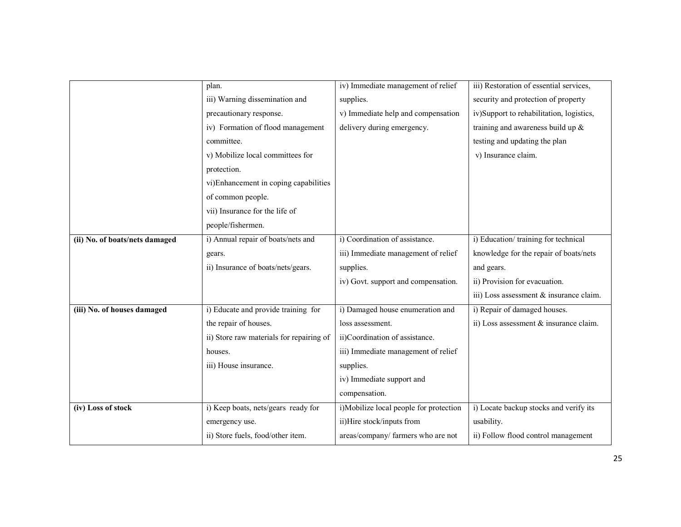|                                | plan.                                    | iv) Immediate management of relief     | iii) Restoration of essential services,  |
|--------------------------------|------------------------------------------|----------------------------------------|------------------------------------------|
|                                | iii) Warning dissemination and           | supplies.                              | security and protection of property      |
|                                | precautionary response.                  | v) Immediate help and compensation     | iv)Support to rehabilitation, logistics, |
|                                | iv) Formation of flood management        | delivery during emergency.             | training and awareness build up $\&$     |
|                                | committee.                               |                                        | testing and updating the plan            |
|                                | v) Mobilize local committees for         |                                        | v) Insurance claim.                      |
|                                | protection.                              |                                        |                                          |
|                                | vi)Enhancement in coping capabilities    |                                        |                                          |
|                                | of common people.                        |                                        |                                          |
|                                | vii) Insurance for the life of           |                                        |                                          |
|                                | people/fishermen.                        |                                        |                                          |
| (ii) No. of boats/nets damaged | i) Annual repair of boats/nets and       | i) Coordination of assistance.         | i) Education/training for technical      |
|                                | gears.                                   | iii) Immediate management of relief    | knowledge for the repair of boats/nets   |
|                                | ii) Insurance of boats/nets/gears.       | supplies.                              | and gears.                               |
|                                |                                          | iv) Govt. support and compensation.    | ii) Provision for evacuation.            |
|                                |                                          |                                        | iii) Loss assessment & insurance claim.  |
| (iii) No. of houses damaged    | i) Educate and provide training for      | i) Damaged house enumeration and       | i) Repair of damaged houses.             |
|                                | the repair of houses.                    | loss assessment.                       | ii) Loss assessment & insurance claim.   |
|                                | ii) Store raw materials for repairing of | ii)Coordination of assistance.         |                                          |
|                                | houses.                                  | iii) Immediate management of relief    |                                          |
|                                | iii) House insurance.                    | supplies.                              |                                          |
|                                |                                          | iv) Immediate support and              |                                          |
|                                |                                          | compensation.                          |                                          |
| (iv) Loss of stock             | i) Keep boats, nets/gears ready for      | i)Mobilize local people for protection | i) Locate backup stocks and verify its   |
|                                | emergency use.                           | ii)Hire stock/inputs from              | usability.                               |
|                                | ii) Store fuels, food/other item.        | areas/company/ farmers who are not     | ii) Follow flood control management      |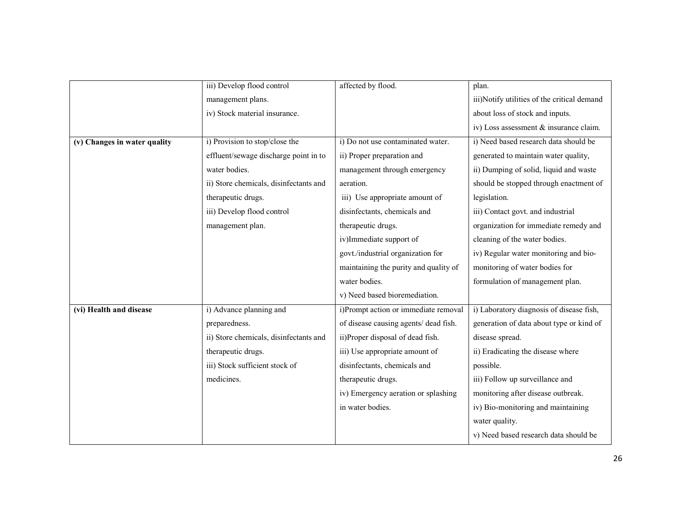|                              | iii) Develop flood control             | affected by flood.                    | plan.                                       |
|------------------------------|----------------------------------------|---------------------------------------|---------------------------------------------|
|                              | management plans.                      |                                       | iii)Notify utilities of the critical demand |
|                              | iv) Stock material insurance.          |                                       | about loss of stock and inputs.             |
|                              |                                        |                                       | iv) Loss assessment & insurance claim.      |
| (v) Changes in water quality | i) Provision to stop/close the         | i) Do not use contaminated water.     | i) Need based research data should be       |
|                              | effluent/sewage discharge point in to  | ii) Proper preparation and            | generated to maintain water quality,        |
|                              | water bodies.                          | management through emergency          | ii) Dumping of solid, liquid and waste      |
|                              | ii) Store chemicals, disinfectants and | aeration.                             | should be stopped through enactment of      |
|                              | therapeutic drugs.                     | iii) Use appropriate amount of        | legislation.                                |
|                              | iii) Develop flood control             | disinfectants, chemicals and          | iii) Contact govt. and industrial           |
|                              | management plan.                       | therapeutic drugs.                    | organization for immediate remedy and       |
|                              |                                        | iv)Immediate support of               | cleaning of the water bodies.               |
|                              |                                        | govt./industrial organization for     | iv) Regular water monitoring and bio-       |
|                              |                                        | maintaining the purity and quality of | monitoring of water bodies for              |
|                              |                                        | water bodies.                         | formulation of management plan.             |
|                              |                                        | v) Need based bioremediation.         |                                             |
| (vi) Health and disease      | i) Advance planning and                | i)Prompt action or immediate removal  | i) Laboratory diagnosis of disease fish,    |
|                              | preparedness.                          | of disease causing agents/ dead fish. | generation of data about type or kind of    |
|                              | ii) Store chemicals, disinfectants and | ii)Proper disposal of dead fish.      | disease spread.                             |
|                              | therapeutic drugs.                     | iii) Use appropriate amount of        | ii) Eradicating the disease where           |
|                              | iii) Stock sufficient stock of         | disinfectants, chemicals and          | possible.                                   |
|                              | medicines.                             | therapeutic drugs.                    | iii) Follow up surveillance and             |
|                              |                                        | iv) Emergency aeration or splashing   | monitoring after disease outbreak.          |
|                              |                                        | in water bodies.                      | iv) Bio-monitoring and maintaining          |
|                              |                                        |                                       | water quality.                              |
|                              |                                        |                                       | v) Need based research data should be       |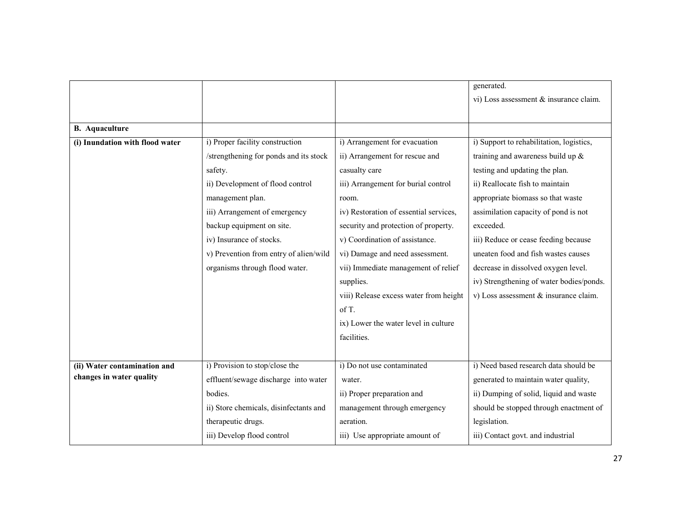|                                 |                                        |                                        | generated.                               |
|---------------------------------|----------------------------------------|----------------------------------------|------------------------------------------|
|                                 |                                        |                                        | vi) Loss assessment & insurance claim.   |
|                                 |                                        |                                        |                                          |
| <b>B.</b> Aquaculture           |                                        |                                        |                                          |
| (i) Inundation with flood water | i) Proper facility construction        | i) Arrangement for evacuation          | i) Support to rehabilitation, logistics, |
|                                 | /strengthening for ponds and its stock | ii) Arrangement for rescue and         | training and awareness build up &        |
|                                 | safety.                                | casualty care                          | testing and updating the plan.           |
|                                 | ii) Development of flood control       | iii) Arrangement for burial control    | ii) Reallocate fish to maintain          |
|                                 | management plan.                       | room.                                  | appropriate biomass so that waste        |
|                                 | iii) Arrangement of emergency          | iv) Restoration of essential services, | assimilation capacity of pond is not     |
|                                 | backup equipment on site.              | security and protection of property.   | exceeded.                                |
|                                 | iv) Insurance of stocks.               | v) Coordination of assistance.         | iii) Reduce or cease feeding because     |
|                                 | v) Prevention from entry of alien/wild | vi) Damage and need assessment.        | uneaten food and fish wastes causes      |
|                                 | organisms through flood water.         | vii) Immediate management of relief    | decrease in dissolved oxygen level.      |
|                                 |                                        | supplies.                              | iv) Strengthening of water bodies/ponds. |
|                                 |                                        | viii) Release excess water from height | v) Loss assessment & insurance claim.    |
|                                 |                                        | of T.                                  |                                          |
|                                 |                                        | ix) Lower the water level in culture   |                                          |
|                                 |                                        | facilities.                            |                                          |
|                                 |                                        |                                        |                                          |
| (ii) Water contamination and    | i) Provision to stop/close the         | i) Do not use contaminated             | i) Need based research data should be    |
| changes in water quality        | effluent/sewage discharge into water   | water.                                 | generated to maintain water quality,     |
|                                 | bodies.                                | ii) Proper preparation and             | ii) Dumping of solid, liquid and waste   |
|                                 | ii) Store chemicals, disinfectants and | management through emergency           | should be stopped through enactment of   |
|                                 | therapeutic drugs.                     | aeration.                              | legislation.                             |
|                                 | iii) Develop flood control             | iii) Use appropriate amount of         | iii) Contact govt. and industrial        |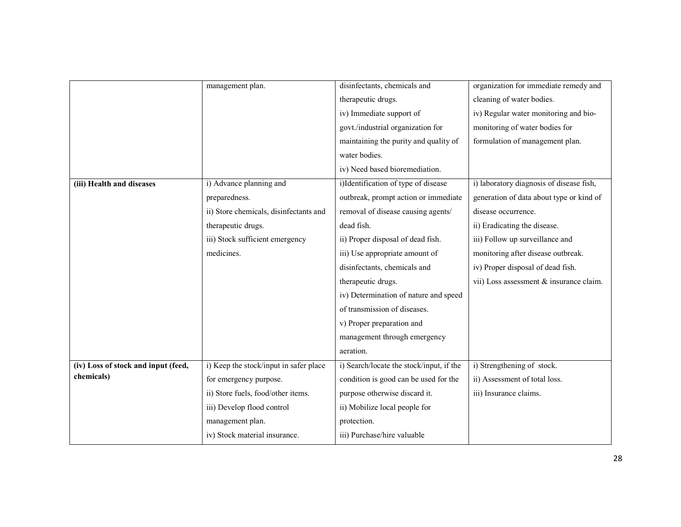|                                     | management plan.                       | disinfectants, chemicals and             | organization for immediate remedy and    |
|-------------------------------------|----------------------------------------|------------------------------------------|------------------------------------------|
|                                     |                                        | therapeutic drugs.                       | cleaning of water bodies.                |
|                                     |                                        | iv) Immediate support of                 | iv) Regular water monitoring and bio-    |
|                                     |                                        | govt./industrial organization for        | monitoring of water bodies for           |
|                                     |                                        | maintaining the purity and quality of    | formulation of management plan.          |
|                                     |                                        | water bodies.                            |                                          |
|                                     |                                        | iv) Need based bioremediation.           |                                          |
| (iii) Health and diseases           | i) Advance planning and                | i)Identification of type of disease      | i) laboratory diagnosis of disease fish, |
|                                     | preparedness.                          | outbreak, prompt action or immediate     | generation of data about type or kind of |
|                                     | ii) Store chemicals, disinfectants and | removal of disease causing agents/       | disease occurrence.                      |
|                                     | therapeutic drugs.                     | dead fish.                               | ii) Eradicating the disease.             |
|                                     | iii) Stock sufficient emergency        | ii) Proper disposal of dead fish.        | iii) Follow up surveillance and          |
|                                     | medicines.                             | iii) Use appropriate amount of           | monitoring after disease outbreak.       |
|                                     |                                        | disinfectants, chemicals and             | iv) Proper disposal of dead fish.        |
|                                     |                                        | therapeutic drugs.                       | vii) Loss assessment & insurance claim.  |
|                                     |                                        | iv) Determination of nature and speed    |                                          |
|                                     |                                        | of transmission of diseases.             |                                          |
|                                     |                                        | v) Proper preparation and                |                                          |
|                                     |                                        | management through emergency             |                                          |
|                                     |                                        | aeration.                                |                                          |
| (iv) Loss of stock and input (feed, | i) Keep the stock/input in safer place | i) Search/locate the stock/input, if the | i) Strengthening of stock.               |
| chemicals)                          | for emergency purpose.                 | condition is good can be used for the    | ii) Assessment of total loss.            |
|                                     | ii) Store fuels, food/other items.     | purpose otherwise discard it.            | iii) Insurance claims.                   |
|                                     | iii) Develop flood control             | ii) Mobilize local people for            |                                          |
|                                     | management plan.                       | protection.                              |                                          |
|                                     | iv) Stock material insurance.          | iii) Purchase/hire valuable              |                                          |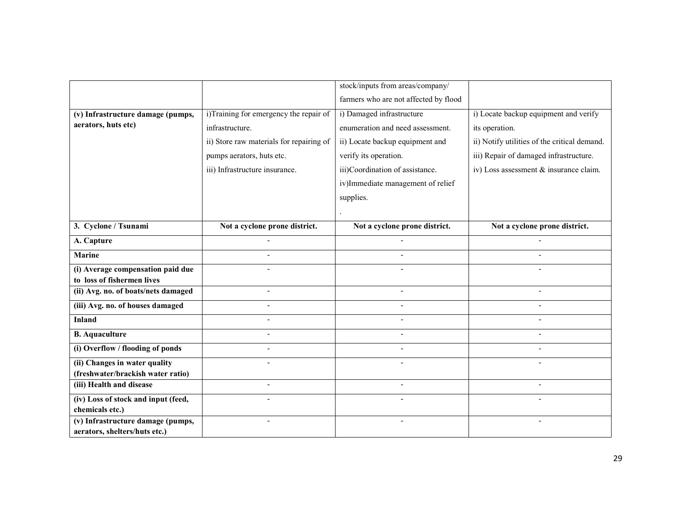|                                                                 |                                          | stock/inputs from areas/company/      |                                              |
|-----------------------------------------------------------------|------------------------------------------|---------------------------------------|----------------------------------------------|
|                                                                 |                                          | farmers who are not affected by flood |                                              |
| (v) Infrastructure damage (pumps,                               | i)Training for emergency the repair of   | i) Damaged infrastructure             | i) Locate backup equipment and verify        |
| aerators, huts etc)                                             | infrastructure.                          | enumeration and need assessment.      | its operation.                               |
|                                                                 | ii) Store raw materials for repairing of | ii) Locate backup equipment and       | ii) Notify utilities of the critical demand. |
|                                                                 | pumps aerators, huts etc.                | verify its operation.                 | iii) Repair of damaged infrastructure.       |
|                                                                 | iii) Infrastructure insurance.           | iii)Coordination of assistance.       | iv) Loss assessment & insurance claim.       |
|                                                                 |                                          | iv)Immediate management of relief     |                                              |
|                                                                 |                                          | supplies.                             |                                              |
|                                                                 |                                          |                                       |                                              |
| 3. Cyclone / Tsunami                                            | Not a cyclone prone district.            | Not a cyclone prone district.         | Not a cyclone prone district.                |
| A. Capture                                                      |                                          |                                       |                                              |
|                                                                 |                                          |                                       |                                              |
| <b>Marine</b>                                                   |                                          |                                       |                                              |
| (i) Average compensation paid due<br>to loss of fishermen lives |                                          |                                       |                                              |
| (ii) Avg. no. of boats/nets damaged                             | $\overline{\phantom{a}}$                 | $\overline{\phantom{a}}$              |                                              |
| (iii) Avg. no. of houses damaged                                |                                          |                                       |                                              |
|                                                                 |                                          |                                       |                                              |
| <b>Inland</b>                                                   |                                          |                                       |                                              |
| <b>B.</b> Aquaculture                                           |                                          |                                       |                                              |
| (i) Overflow / flooding of ponds                                |                                          |                                       |                                              |
| (ii) Changes in water quality                                   |                                          |                                       |                                              |
| (freshwater/brackish water ratio)                               |                                          |                                       |                                              |
| (iii) Health and disease                                        | $\overline{a}$                           | $\overline{a}$                        |                                              |
| (iv) Loss of stock and input (feed,                             |                                          |                                       |                                              |
| chemicals etc.)<br>(v) Infrastructure damage (pumps,            |                                          |                                       |                                              |
| aerators, shelters/huts etc.)                                   |                                          |                                       |                                              |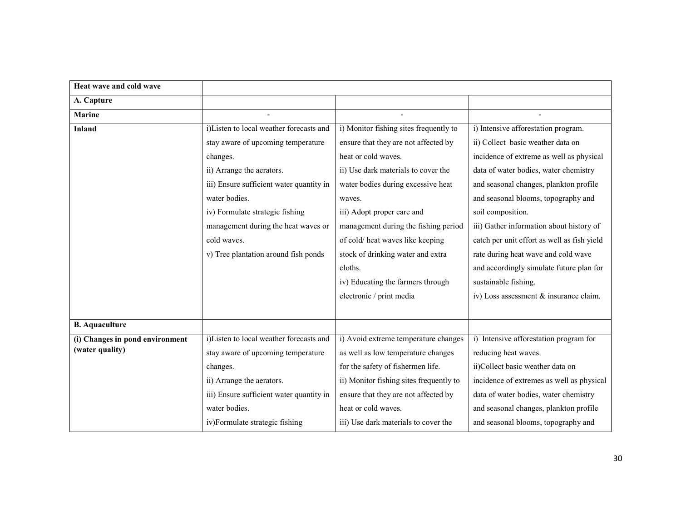| Heat wave and cold wave                            |                                          |                                         |                                             |
|----------------------------------------------------|------------------------------------------|-----------------------------------------|---------------------------------------------|
| A. Capture                                         |                                          |                                         |                                             |
| <b>Marine</b>                                      |                                          |                                         |                                             |
| <b>Inland</b>                                      | i)Listen to local weather forecasts and  | i) Monitor fishing sites frequently to  | i) Intensive afforestation program.         |
|                                                    | stay aware of upcoming temperature       | ensure that they are not affected by    | ii) Collect basic weather data on           |
|                                                    | changes.                                 | heat or cold waves.                     | incidence of extreme as well as physical    |
|                                                    | ii) Arrange the aerators.                | ii) Use dark materials to cover the     | data of water bodies, water chemistry       |
|                                                    | iii) Ensure sufficient water quantity in | water bodies during excessive heat      | and seasonal changes, plankton profile      |
|                                                    | water bodies.                            | waves.                                  | and seasonal blooms, topography and         |
|                                                    | iv) Formulate strategic fishing          | iii) Adopt proper care and              | soil composition.                           |
|                                                    | management during the heat waves or      | management during the fishing period    | iii) Gather information about history of    |
|                                                    | cold waves.                              | of cold/heat waves like keeping         | catch per unit effort as well as fish yield |
|                                                    | v) Tree plantation around fish ponds     | stock of drinking water and extra       | rate during heat wave and cold wave         |
|                                                    |                                          | cloths.                                 | and accordingly simulate future plan for    |
|                                                    |                                          | iv) Educating the farmers through       | sustainable fishing.                        |
|                                                    |                                          | electronic / print media                | iv) Loss assessment & insurance claim.      |
|                                                    |                                          |                                         |                                             |
| <b>B.</b> Aquaculture                              |                                          |                                         |                                             |
| (i) Changes in pond environment<br>(water quality) | i)Listen to local weather forecasts and  | i) Avoid extreme temperature changes    | i) Intensive afforestation program for      |
|                                                    | stay aware of upcoming temperature       | as well as low temperature changes      | reducing heat waves.                        |
|                                                    | changes.                                 | for the safety of fishermen life.       | ii)Collect basic weather data on            |
|                                                    | ii) Arrange the aerators.                | ii) Monitor fishing sites frequently to | incidence of extremes as well as physical   |
|                                                    | iii) Ensure sufficient water quantity in | ensure that they are not affected by    | data of water bodies, water chemistry       |
|                                                    | water bodies.                            | heat or cold waves.                     | and seasonal changes, plankton profile      |
|                                                    | iv)Formulate strategic fishing           | iii) Use dark materials to cover the    | and seasonal blooms, topography and         |